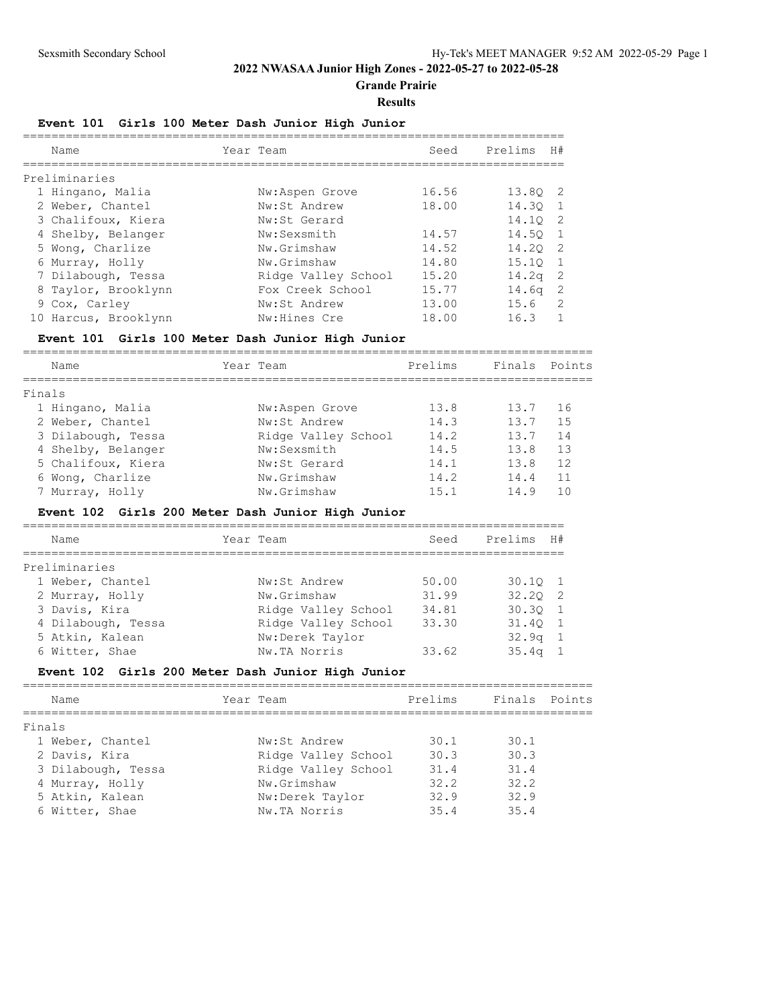**Grande Prairie**

#### **Results**

### **Event 101 Girls 100 Meter Dash Junior High Junior**

| Name                 | Year Team           | Seed  | Prelims<br>H#     |     |
|----------------------|---------------------|-------|-------------------|-----|
| Preliminaries        |                     |       |                   |     |
| 1 Hingano, Malia     | Nw:Aspen Grove      | 16.56 | 13.80 2           |     |
| 2 Weber, Chantel     | Nw:St Andrew        | 18.00 | 14.30             |     |
| 3 Chalifoux, Kiera   | Nw:St Gerard        |       | 14.10             | - 2 |
| 4 Shelby, Belanger   | Nw:Sexsmith         | 14.57 | 14.50             |     |
| 5 Wong, Charlize     | Nw.Grimshaw         | 14.52 | 14.20             | -2  |
| 6 Murray, Holly      | Nw.Grimshaw         | 14.80 | 15.10             |     |
| 7 Dilabough, Tessa   | Ridge Valley School | 15.20 | 14.2 <sub>q</sub> | -2  |
| 8 Taylor, Brooklynn  | Fox Creek School    | 15.77 | 14.6 <sub>q</sub> | -2  |
| 9 Cox, Carley        | Nw:St Andrew        | 13.00 | 15.6              | 2   |
| 10 Harcus, Brooklynn | Nw:Hines Cre        | 18.00 | 16.3              |     |

#### **Event 101 Girls 100 Meter Dash Junior High Junior**

================================================================================

| Name               | Year Team           | Prelims | Finals | Points |
|--------------------|---------------------|---------|--------|--------|
| Finals             |                     |         |        |        |
| 1 Hingano, Malia   | Nw:Aspen Grove      | 13.8    | 13.7   | 16     |
| 2 Weber, Chantel   | Nw:St Andrew        | 14.3    | 13.7   | 15     |
| 3 Dilabough, Tessa | Ridge Valley School | 14.2    | 13.7   | 14     |
| 4 Shelby, Belanger | Nw:Sexsmith         | 14.5    | 13.8   | 13     |
| 5 Chalifoux, Kiera | Nw:St Gerard        | 14.1    | 13.8   | 12     |
| 6 Wong, Charlize   | Nw.Grimshaw         | 14.2    | 14.4   | 11     |
| 7 Murray, Holly    | Nw.Grimshaw         | 15.1    | 14.9   | 1 ∩    |

#### **Event 102 Girls 200 Meter Dash Junior High Junior**

| Name               | Year Team |                     | Seed  | Prelims           | H#             |
|--------------------|-----------|---------------------|-------|-------------------|----------------|
| Preliminaries      |           |                     |       |                   |                |
| 1 Weber, Chantel   |           | Nw:St Andrew        | 50.00 | $30.10 \quad 1$   |                |
| 2 Murray, Holly    |           | Nw.Grimshaw         | 31.99 | $32.20 \quad 2$   |                |
| 3 Davis, Kira      |           | Ridge Valley School | 34.81 | $30.30 \quad 1$   |                |
| 4 Dilabough, Tessa |           | Ridge Valley School | 33.30 | 31.40 1           |                |
| 5 Atkin, Kalean    |           | Nw:Derek Taylor     |       | $32.9q$ 1         |                |
| 6 Witter, Shae     |           | Nw.TA Norris        | 33.62 | 35.4 <sub>q</sub> | $\overline{1}$ |

## **Event 102 Girls 200 Meter Dash Junior High Junior**

| Name               | Year Team           | Prelims | Finals Points |  |
|--------------------|---------------------|---------|---------------|--|
| Finals             |                     |         |               |  |
| 1 Weber, Chantel   | Nw:St Andrew        | 30.1    | 30.1          |  |
| 2 Davis, Kira      | Ridge Valley School | 30.3    | 30.3          |  |
| 3 Dilabough, Tessa | Ridge Valley School | 31.4    | 31.4          |  |
| 4 Murray, Holly    | Nw.Grimshaw         | 32.2    | 32.2          |  |
| 5 Atkin, Kalean    | Nw:Derek Taylor     | 32.9    | 32.9          |  |
| 6 Witter, Shae     | Nw.TA Norris        | 35.4    | 35.4          |  |
|                    |                     |         |               |  |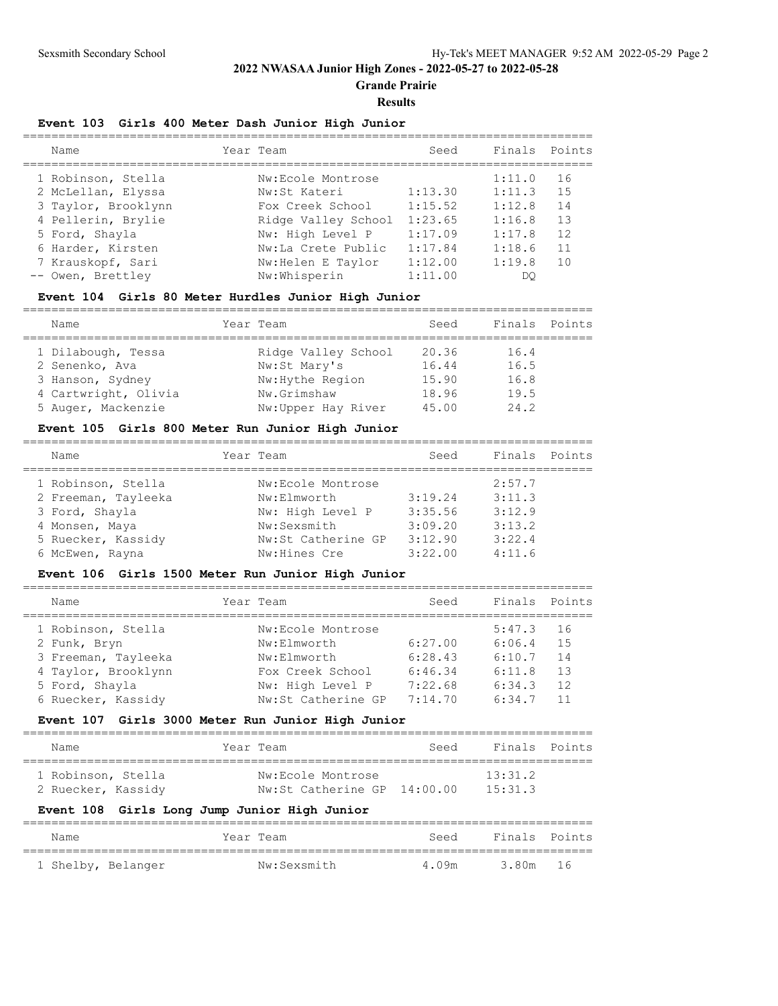**Grande Prairie**

#### **Results**

#### **Event 103 Girls 400 Meter Dash Junior High Junior**

| Name                |                     | Seed      |        |               |
|---------------------|---------------------|-----------|--------|---------------|
| 1 Robinson, Stella  | Nw:Ecole Montrose   |           | 1:11.0 | 16            |
| 2 McLellan, Elyssa  | Nw:St Kateri        | 1:13.30   | 1:11.3 | 15            |
| 3 Taylor, Brooklynn | Fox Creek School    | 1:15.52   | 1:12.8 | 14            |
| 4 Pellerin, Brylie  | Ridge Valley School | 1:23.65   | 1:16.8 | 13            |
| 5 Ford, Shayla      | Nw: High Level P    | 1:17.09   | 1:17.8 | 12            |
| 6 Harder, Kirsten   | Nw:La Crete Public  | 1:17.84   | 1:18.6 | 11            |
| 7 Krauskopf, Sari   | Nw: Helen E Taylor  | 1:12.00   | 1:19.8 | 10            |
| -- Owen, Brettley   | Nw:Whisperin        | 1:11.00   | DO     |               |
|                     |                     | Year Team |        | Finals Points |

### **Event 104 Girls 80 Meter Hurdles Junior High Junior**

================================================================================

| Name                 | Year Team           | Seed  | Finals Points |  |
|----------------------|---------------------|-------|---------------|--|
| 1 Dilabough, Tessa   | Ridge Valley School | 20.36 | 16.4          |  |
| 2 Senenko, Ava       | Nw:St Mary's        | 16.44 | 16.5          |  |
| 3 Hanson, Sydney     | Nw: Hythe Region    | 15.90 | 16.8          |  |
| 4 Cartwright, Olivia | Nw.Grimshaw         | 18.96 | 19.5          |  |
| 5 Auger, Mackenzie   | Nw:Upper Hay River  | 45.00 | 24.2          |  |

#### **Event 105 Girls 800 Meter Run Junior High Junior**

| Name                                                                                                                   | Year Team                                                                                                 | Seed                                                | Finals Points                                            |  |
|------------------------------------------------------------------------------------------------------------------------|-----------------------------------------------------------------------------------------------------------|-----------------------------------------------------|----------------------------------------------------------|--|
| 1 Robinson, Stella<br>2 Freeman, Tayleeka<br>3 Ford, Shayla<br>4 Monsen, Maya<br>5 Ruecker, Kassidy<br>6 McEwen, Rayna | Nw:Ecole Montrose<br>Nw:Elmworth<br>Nw: High Level P<br>Nw:Sexsmith<br>Nw:St Catherine GP<br>Nw:Hines Cre | 3:19.24<br>3:35.56<br>3:09.20<br>3:12.90<br>3:22.00 | 2:57.7<br>3:11.3<br>3:12.9<br>3:13.2<br>3:22.4<br>4:11.6 |  |
|                                                                                                                        |                                                                                                           |                                                     |                                                          |  |

### **Event 106 Girls 1500 Meter Run Junior High Junior**

| Name                | Year Team          | Seed    | Finals Points |     |
|---------------------|--------------------|---------|---------------|-----|
| 1 Robinson, Stella  | Nw:Ecole Montrose  |         | 5:47.3        | -16 |
| 2 Funk, Bryn        | Nw:Elmworth        | 6:27.00 | 6:06.4        | 1.5 |
| 3 Freeman, Tayleeka | Nw:Elmworth        | 6:28.43 | 6:10.7        | 14  |
| 4 Taylor, Brooklynn | Fox Creek School   | 6:46.34 | 6:11.8        | 13  |
| 5 Ford, Shayla      | Nw: High Level P   | 7:22.68 | 6:34.3        | 12  |
| 6 Ruecker, Kassidy  | Nw:St Catherine GP | 7:14.70 | 6:34.7        | 11  |
|                     |                    |         |               |     |

#### **Event 107 Girls 3000 Meter Run Junior High Junior**

| Name               | Year Team                   | Seed | Finals Points |  |
|--------------------|-----------------------------|------|---------------|--|
| 1 Robinson, Stella | Nw:Ecole Montrose           |      | 13.312        |  |
| 2 Ruecker, Kassidy | Nw:St Catherine GP 14:00.00 |      | 15:31.3       |  |

## **Event 108 Girls Long Jump Junior High Junior**

| Name               | Year Team   | Seed  | Finals Points |  |
|--------------------|-------------|-------|---------------|--|
| 1 Shelby, Belanger | Nw:Sexsmith | 4.09m | 3.80m 16      |  |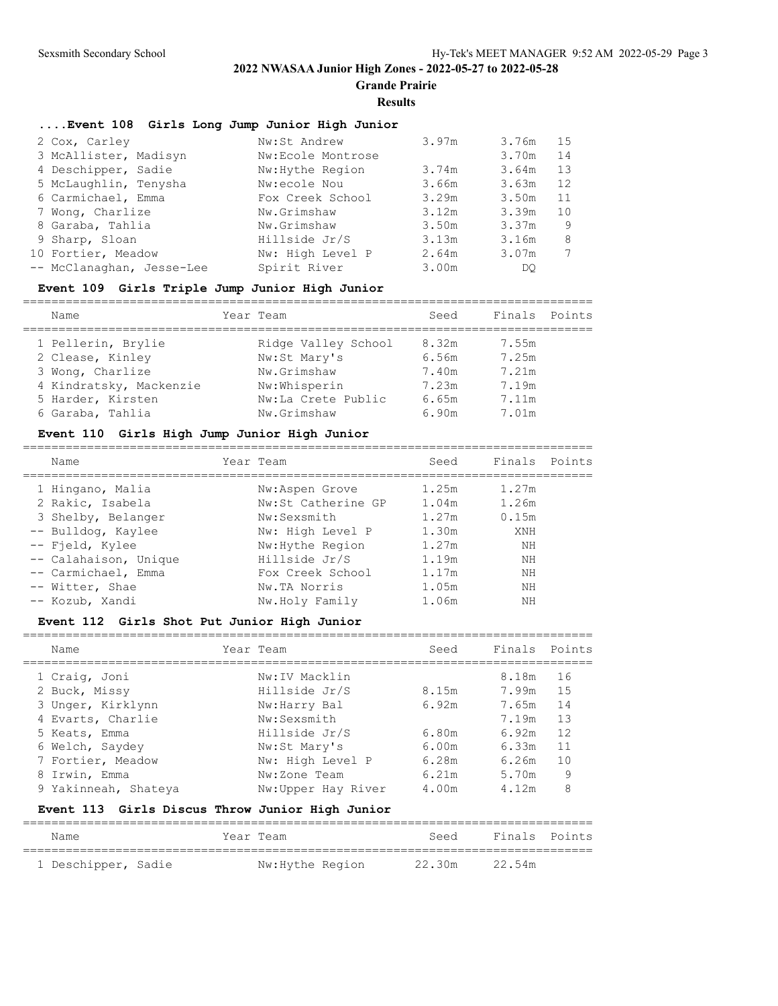**Grande Prairie**

#### **Results**

## **....Event 108 Girls Long Jump Junior High Junior**

| 2 Cox, Carley             | Nw:St Andrew      | 3.97m | 3.76m | 15 |
|---------------------------|-------------------|-------|-------|----|
| 3 McAllister, Madisyn     | Nw:Ecole Montrose |       | 3.70m | 14 |
| 4 Deschipper, Sadie       | Nw: Hythe Region  | 3.74m | 3.64m | 13 |
| 5 McLaughlin, Tenysha     | Nw:ecole Nou      | 3.66m | 3.63m | 12 |
| 6 Carmichael, Emma        | Fox Creek School  | 3.29m | 3.50m | 11 |
| 7 Wong, Charlize          | Nw.Grimshaw       | 3.12m | 3.39m | 10 |
| 8 Garaba, Tahlia          | Nw.Grimshaw       | 3.50m | 3.37m | 9  |
| 9 Sharp, Sloan            | Hillside Jr/S     | 3.13m | 3.16m | 8  |
| 10 Fortier, Meadow        | Nw: High Level P  | 2.64m | 3.07m |    |
| -- McClanaghan, Jesse-Lee | Spirit River      | 3.00m | DO    |    |

### **Event 109 Girls Triple Jump Junior High Junior**

| Name                    | Year Team           | Seed  | Finals Points |  |
|-------------------------|---------------------|-------|---------------|--|
| 1 Pellerin, Brylie      | Ridge Valley School | 8.32m | 7.55m         |  |
| 2 Clease, Kinley        | Nw:St Mary's        | 6.56m | 7.25m         |  |
| 3 Wong, Charlize        | Nw.Grimshaw         | 7.40m | 7.21m         |  |
| 4 Kindratsky, Mackenzie | Nw:Whisperin        | 7.23m | 7.19m         |  |
| 5 Harder, Kirsten       | Nw:La Crete Public  | 6.65m | 7.11m         |  |
| 6 Garaba, Tahlia        | Nw.Grimshaw         | 6.90m | 7.01m         |  |
|                         |                     |       |               |  |

### **Event 110 Girls High Jump Junior High Junior**

| Name                  | Year Team          | Seed  | Finals Points |  |
|-----------------------|--------------------|-------|---------------|--|
| 1 Hingano, Malia      | Nw:Aspen Grove     | 1.25m | 1.27m         |  |
| 2 Rakic, Isabela      | Nw:St Catherine GP | 1.04m | 1.26m         |  |
| 3 Shelby, Belanger    | Nw:Sexsmith        | 1.27m | 0.15m         |  |
| -- Bulldog, Kaylee    | Nw: High Level P   | 1.30m | XNH           |  |
| -- Field, Kylee       | Nw: Hythe Region   | 1.27m | ΝH            |  |
| -- Calahaison, Unique | Hillside Jr/S      | 1.19m | ΝH            |  |
| -- Carmichael, Emma   | Fox Creek School   | 1.17m | NΗ            |  |
| -- Witter, Shae       | Nw.TA Norris       | 1.05m | ΝH            |  |
| -- Kozub, Xandi       | Nw.Holy Family     | 1.06m | ΝH            |  |
|                       |                    |       |               |  |

## **Event 112 Girls Shot Put Junior High Junior**

================================================================================

| Name                 | Year Team          | Seed  | Finals Points |    |
|----------------------|--------------------|-------|---------------|----|
| 1 Craig, Joni        | Nw:IV Macklin      |       | 8.18m         | 16 |
| 2 Buck, Missy        | Hillside Jr/S      | 8.15m | 7.99m         | 15 |
| 3 Unger, Kirklynn    | Nw:Harry Bal       | 6.92m | 7.65m         | 14 |
| 4 Evarts, Charlie    | Nw:Sexsmith        |       | 7.19m         | 13 |
| 5 Keats, Emma        | Hillside Jr/S      | 6.80m | 6.92m         | 12 |
| 6 Welch, Saydey      | Nw:St Mary's       | 6.00m | 6.33m         | 11 |
| 7 Fortier, Meadow    | Nw: High Level P   | 6.28m | 6.26m         | 10 |
| 8 Irwin, Emma        | Nw:Zone Team       | 6.21m | 5.70m         | 9  |
| 9 Yakinneah, Shateya | Nw:Upper Hay River | 4.00m | 4.12m         | 8  |

## **Event 113 Girls Discus Throw Junior High Junior**

| Name                | Year Team        | Seed   | Finals Points |  |
|---------------------|------------------|--------|---------------|--|
| 1 Deschipper, Sadie | Nw: Hythe Region | 22.30m | 22.54m        |  |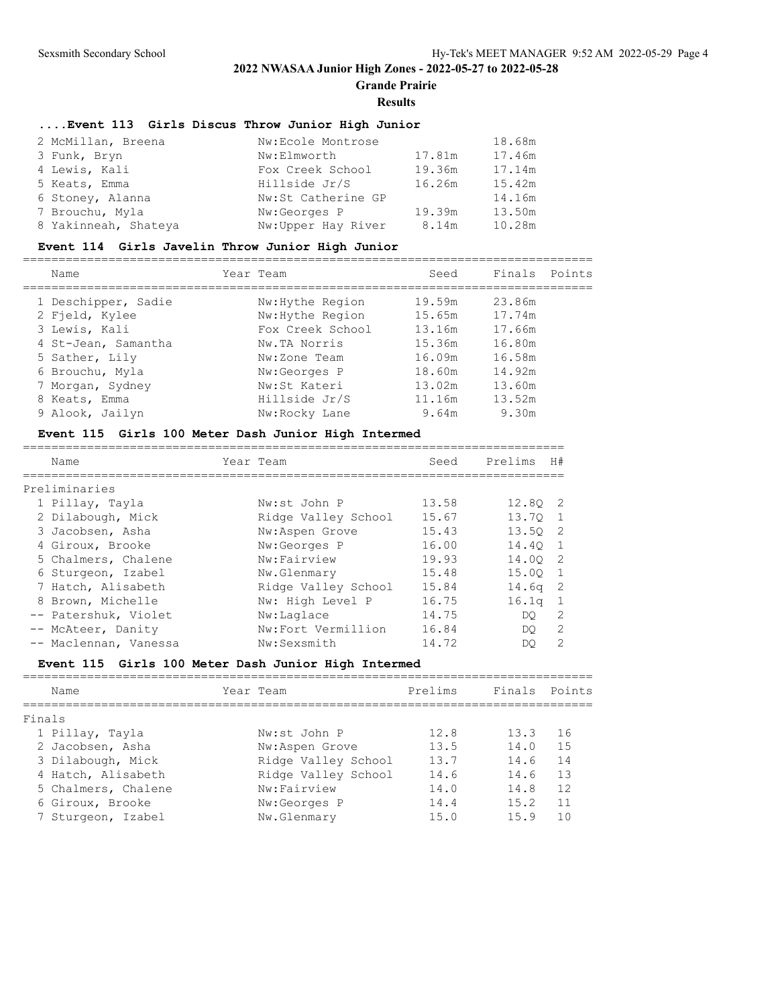**Grande Prairie**

#### **Results**

## **....Event 113 Girls Discus Throw Junior High Junior**

| 2 McMillan, Breena   | Nw:Ecole Montrose  |        | 18.68m |
|----------------------|--------------------|--------|--------|
| 3 Funk, Bryn         | Nw:Elmworth        | 17.81m | 17.46m |
| 4 Lewis, Kali        | Fox Creek School   | 19.36m | 17.14m |
| 5 Keats, Emma        | Hillside Jr/S      | 16.26m | 15.42m |
| 6 Stoney, Alanna     | Nw:St Catherine GP |        | 14.16m |
| 7 Brouchu, Myla      | Nw:Georges P       | 19.39m | 13.50m |
| 8 Yakinneah, Shateya | Nw:Upper Hay River | 8.14m  | 10.28m |

## **Event 114 Girls Javelin Throw Junior High Junior**

| Name                                  | Year Team                            | Seed             | Finals           | Points |
|---------------------------------------|--------------------------------------|------------------|------------------|--------|
| 1 Deschipper, Sadie<br>2 Fjeld, Kylee | Nw: Hythe Region<br>Nw: Hythe Region | 19.59m<br>15.65m | 23.86m<br>17.74m |        |
| 3 Lewis, Kali                         | Fox Creek School                     | 13.16m           | 17.66m           |        |
| 4 St-Jean, Samantha<br>5 Sather, Lily | Nw.TA Norris<br>Nw:Zone Team         | 15.36m<br>16.09m | 16.80m<br>16.58m |        |
| 6 Brouchu, Myla                       | Nw:Georges P                         | 18.60m           | 14.92m           |        |
| 7 Morgan, Sydney<br>8 Keats, Emma     | Nw:St Kateri<br>Hillside Jr/S        | 13.02m<br>11.16m | 13.60m<br>13.52m |        |
| 9 Alook, Jailyn                       | Nw:Rocky Lane                        | 9.64m            | 9.30m            |        |

## **Event 115 Girls 100 Meter Dash Junior High Intermed**

| Name                  | Year Team           | Seed  | Prelims           | H#             |
|-----------------------|---------------------|-------|-------------------|----------------|
|                       |                     |       |                   |                |
| Preliminaries         |                     |       |                   |                |
| 1 Pillay, Tayla       | Nw:st John P        | 13.58 | 12.80 2           |                |
| 2 Dilabough, Mick     | Ridge Valley School | 15.67 | 13.70             | -1             |
| 3 Jacobsen, Asha      | Nw:Aspen Grove      | 15.43 | 13.50             | -2             |
| 4 Giroux, Brooke      | Nw:Georges P        | 16.00 | 14.40             | 1              |
| 5 Chalmers, Chalene   | Nw:Fairview         | 19.93 | 14.00             | -2             |
| 6 Sturgeon, Izabel    | Nw.Glenmary         | 15.48 | 15.00             | $\overline{1}$ |
| 7 Hatch, Alisabeth    | Ridge Valley School | 15.84 | 14.6 <sub>q</sub> | -2             |
| 8 Brown, Michelle     | Nw: High Level P    | 16.75 | 16.1 <sub>q</sub> | -1             |
| -- Patershuk, Violet  | Nw:Laglace          | 14.75 | DO.               | 2              |
| -- McAteer, Danity    | Nw:Fort Vermillion  | 16.84 | DO.               | 2              |
| -- Maclennan, Vanessa | Nw:Sexsmith         | 14.72 | DO                | $\mathcal{L}$  |

## **Event 115 Girls 100 Meter Dash Junior High Intermed**

| Name                | Year Team           | Prelims | Finals Points |    |
|---------------------|---------------------|---------|---------------|----|
| Finals              |                     |         |               |    |
| 1 Pillay, Tayla     | Nw:st John P        | 12.8    | 13.3          | 16 |
| 2 Jacobsen, Asha    | Nw:Aspen Grove      | 13.5    | 14.0          | 15 |
| 3 Dilabough, Mick   | Ridge Valley School | 13.7    | 14.6          | 14 |
| 4 Hatch, Alisabeth  | Ridge Valley School | 14.6    | 14.6          | 13 |
| 5 Chalmers, Chalene | Nw:Fairview         | 14.0    | 14.8          | 12 |
| 6 Giroux, Brooke    | Nw:Georges P        | 14.4    | 15.2          | 11 |
| 7 Sturgeon, Izabel  | Nw.Glenmary         | 15.0    | 15.9          | 10 |
|                     |                     |         |               |    |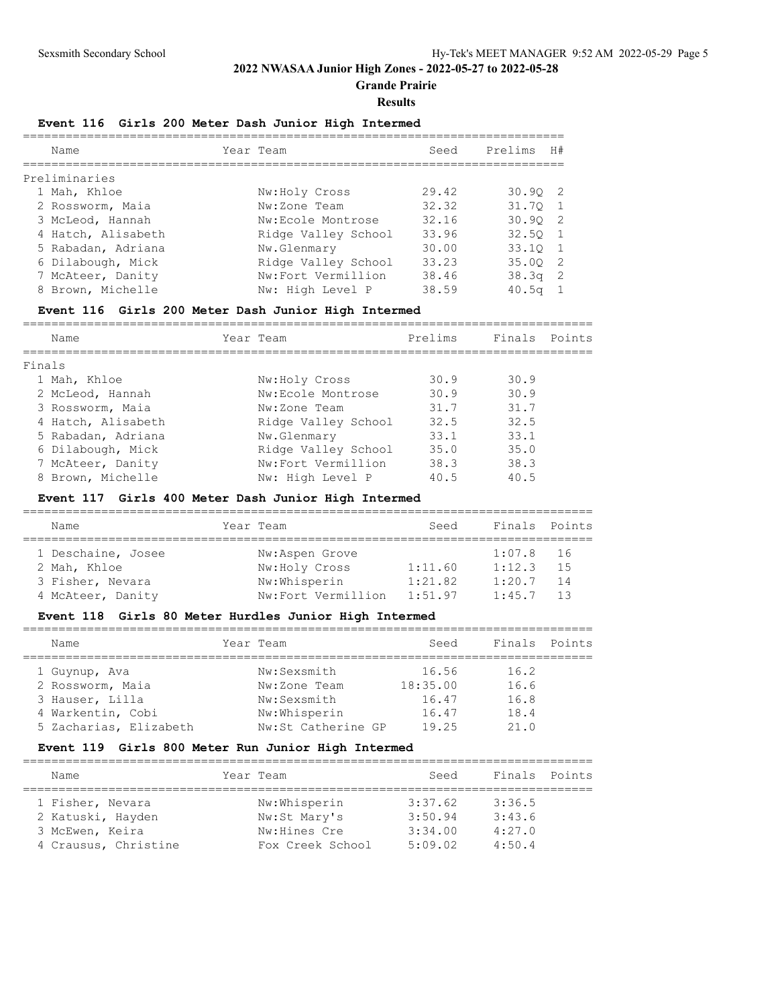**Grande Prairie**

#### **Results**

## **Event 116 Girls 200 Meter Dash Junior High Intermed**

| Name               | Year Team           | Seed  | Prelims      | H# |
|--------------------|---------------------|-------|--------------|----|
| Preliminaries      |                     |       |              |    |
| 1 Mah, Khloe       | Nw:Holy Cross       | 29.42 | 30.902       |    |
| 2 Rossworm, Maia   | Nw:Zone Team        | 32.32 | 31.70        |    |
| 3 McLeod, Hannah   | Nw:Ecole Montrose   | 32.16 | 30.902       |    |
| 4 Hatch, Alisabeth | Ridge Valley School | 33.96 | $32.50$ 1    |    |
| 5 Rabadan, Adriana | Nw.Glenmary         | 30.00 | 33.10 1      |    |
| 6 Dilabough, Mick  | Ridge Valley School | 33.23 | 35.00 2      |    |
| 7 McAteer, Danity  | Nw:Fort Vermillion  | 38.46 | $38.3q$ 2    |    |
| 8 Brown, Michelle  | Nw: High Level P    | 38.59 | $40.5\sigma$ |    |

## **Event 116 Girls 200 Meter Dash Junior High Intermed**

| Name               | Year Team           | Prelims | Finals | Points |
|--------------------|---------------------|---------|--------|--------|
|                    |                     |         |        |        |
| Finals             |                     |         |        |        |
| 1 Mah, Khloe       | Nw:Holy Cross       | 30.9    | 30.9   |        |
| 2 McLeod, Hannah   | Nw:Ecole Montrose   | 30.9    | 30.9   |        |
| 3 Rossworm, Maia   | Nw:Zone Team        | 31.7    | 31.7   |        |
| 4 Hatch, Alisabeth | Ridge Valley School | 32.5    | 32.5   |        |
| 5 Rabadan, Adriana | Nw.Glenmary         | 33.1    | 33.1   |        |
| 6 Dilabough, Mick  | Ridge Valley School | 35.0    | 35.0   |        |
| 7 McAteer, Danity  | Nw:Fort Vermillion  | 38.3    | 38.3   |        |
| 8 Brown, Michelle  | Nw: High Level P    | 40.5    | 40.5   |        |

## **Event 117 Girls 400 Meter Dash Junior High Intermed**

| Name               | Year Team          | Seed    | Finals Points |      |  |  |  |  |
|--------------------|--------------------|---------|---------------|------|--|--|--|--|
|                    |                    |         |               |      |  |  |  |  |
| 1 Deschaine, Josee | Nw:Aspen Grove     |         | 1:07.8        | - 16 |  |  |  |  |
| 2 Mah, Khloe       | Nw:Holy Cross      | 1:11.60 | 1:12.3        | 1.5  |  |  |  |  |
| 3 Fisher, Nevara   | Nw:Whisperin       | 1:21.82 | 1:20.7        | 14   |  |  |  |  |
| 4 McAteer, Danity  | Nw:Fort Vermillion | 1:51.97 | 1:45.7        | 13   |  |  |  |  |

### **Event 118 Girls 80 Meter Hurdles Junior High Intermed**

| Finals Points |
|---------------|
|               |
|               |
|               |
|               |
|               |
|               |

## **Event 119 Girls 800 Meter Run Junior High Intermed**

| Name                 | Year Team        | Seed    | Finals Points |  |
|----------------------|------------------|---------|---------------|--|
| 1 Fisher, Nevara     | Nw:Whisperin     | 3:37.62 | 3:36.5        |  |
| 2 Katuski, Hayden    | Nw:St Mary's     | 3:50.94 | 3:43.6        |  |
| 3 McEwen, Keira      | Nw:Hines Cre     | 3:34.00 | 4:27.0        |  |
| 4 Crausus, Christine | Fox Creek School | 5:09.02 | 4:50.4        |  |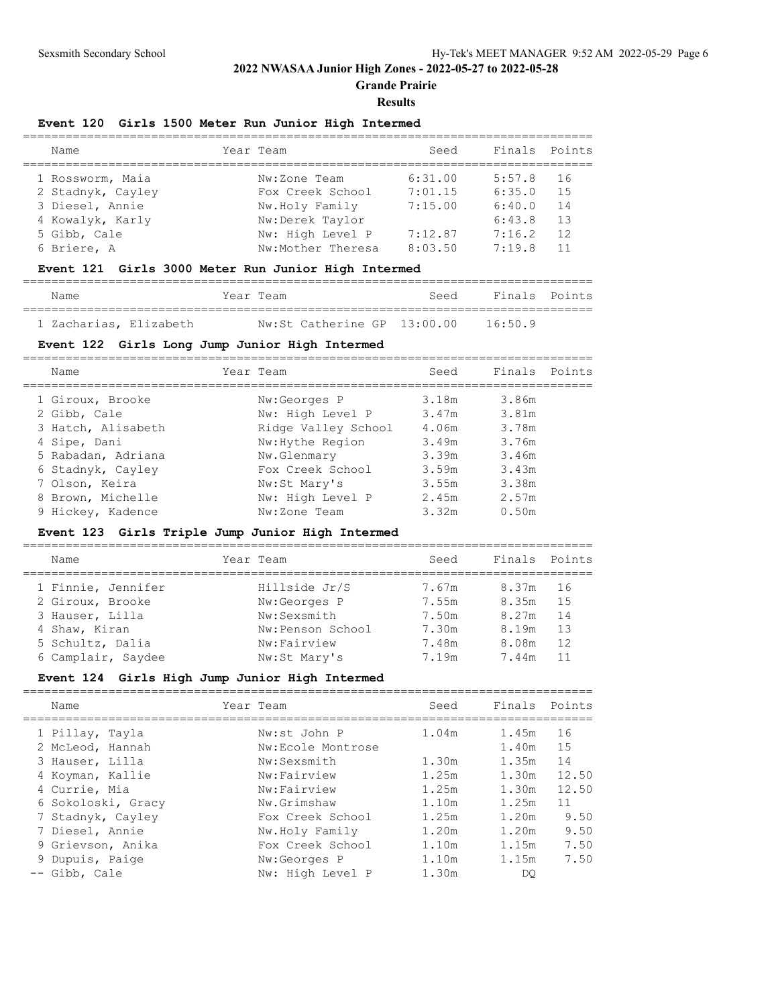**Grande Prairie**

#### **Results**

#### **Event 120 Girls 1500 Meter Run Junior High Intermed**

| Name              | Year Team         | Seed    | Finals Points |     |
|-------------------|-------------------|---------|---------------|-----|
| 1 Rossworm, Maia  | Nw:Zone Team      | 6:31.00 | 5:57.8        | 16  |
| 2 Stadnyk, Cayley | Fox Creek School  | 7:01.15 | 6:35.0        | 1.5 |
| 3 Diesel, Annie   | Nw.Holy Family    | 7:15.00 | 6:40.0        | 14  |
| 4 Kowalyk, Karly  | Nw:Derek Taylor   |         | 6:43.8        | 13  |
| 5 Gibb, Cale      | Nw: High Level P  | 7:12.87 | 7:16.2        | 12  |
| 6 Briere, A       | Nw:Mother Theresa | 8:03.50 | 7:19.8        |     |
|                   |                   |         |               |     |

## **Event 121 Girls 3000 Meter Run Junior High Intermed**

| Name                   | Year Team |                                  | Seed | Finals Points |  |
|------------------------|-----------|----------------------------------|------|---------------|--|
| 1 Zacharias, Elizabeth |           | $Nw:$ St Catherine GP $13:00.00$ |      | 16:50.9       |  |

#### **Event 122 Girls Long Jump Junior High Intermed**

| Name               | Year Team           | Seed  | Finals Points |  |
|--------------------|---------------------|-------|---------------|--|
| 1 Giroux, Brooke   | Nw:Georges P        | 3.18m | 3.86m         |  |
| 2 Gibb, Cale       | Nw: High Level P    | 3.47m | 3.81m         |  |
| 3 Hatch, Alisabeth | Ridge Valley School | 4.06m | 3.78m         |  |
| 4 Sipe, Dani       | Nw: Hythe Region    | 3.49m | 3.76m         |  |
| 5 Rabadan, Adriana | Nw.Glenmary         | 3.39m | 3.46m         |  |
| 6 Stadnyk, Cayley  | Fox Creek School    | 3.59m | 3.43m         |  |
| 7 Olson, Keira     | Nw:St Mary's        | 3.55m | 3.38m         |  |
| 8 Brown, Michelle  | Nw: High Level P    | 2.45m | 2.57m         |  |
| 9 Hickey, Kadence  | Nw:Zone Team        | 3.32m | 0.50m         |  |
|                    |                     |       |               |  |

### **Event 123 Girls Triple Jump Junior High Intermed**

| Name               | Year Team        | Seed  | Finals Points |      |
|--------------------|------------------|-------|---------------|------|
| 1 Finnie, Jennifer | Hillside Jr/S    | 7.67m | 8.37m         | - 16 |
| 2 Giroux, Brooke   | Nw:Georges P     | 7.55m | 8.35m         | 1.5  |
| 3 Hauser, Lilla    | Nw:Sexsmith      | 7.50m | 8.27m         | 14   |
| 4 Shaw, Kiran      | Nw:Penson School | 7.30m | 8.19m         | 13   |
| 5 Schultz, Dalia   | Nw:Fairview      | 7.48m | 8.08m         | 12   |
| 6 Camplair, Saydee | Nw:St Mary's     | 7.19m | 7.44m         | 11   |
|                    |                  |       |               |      |

## **Event 124 Girls High Jump Junior High Intermed**

| Name                                | Year Team                         | Seed  | Finals         | Points   |
|-------------------------------------|-----------------------------------|-------|----------------|----------|
| 1 Pillay, Tayla<br>2 McLeod, Hannah | Nw:st John P<br>Nw:Ecole Montrose | 1.04m | 1.45m<br>1.40m | 16<br>15 |
| 3 Hauser, Lilla                     | Nw:Sexsmith                       | 1.30m | 1.35m          | 14       |
| 4 Koyman, Kallie                    | Nw:Fairview                       | 1.25m | 1.30m          | 12.50    |
| 4 Currie, Mia                       | Nw:Fairview                       | 1.25m | 1.30m          | 12.50    |
| 6 Sokoloski, Gracy                  | Nw.Grimshaw                       | 1.10m | 1.25m          | 11       |
| 7 Stadnyk, Cayley                   | Fox Creek School                  | 1.25m | 1.20m          | 9.50     |
| 7 Diesel, Annie                     | Nw.Holy Family                    | 1.20m | 1.20m          | 9.50     |
| 9 Grievson, Anika                   | Fox Creek School                  | 1.10m | 1.15m          | 7.50     |
| 9 Dupuis, Paige                     | Nw:Georges P                      | 1.10m | 1.15m          | 7.50     |
| -- Gibb, Cale                       | Nw: High Level P                  | 1.30m | DO             |          |
|                                     |                                   |       |                |          |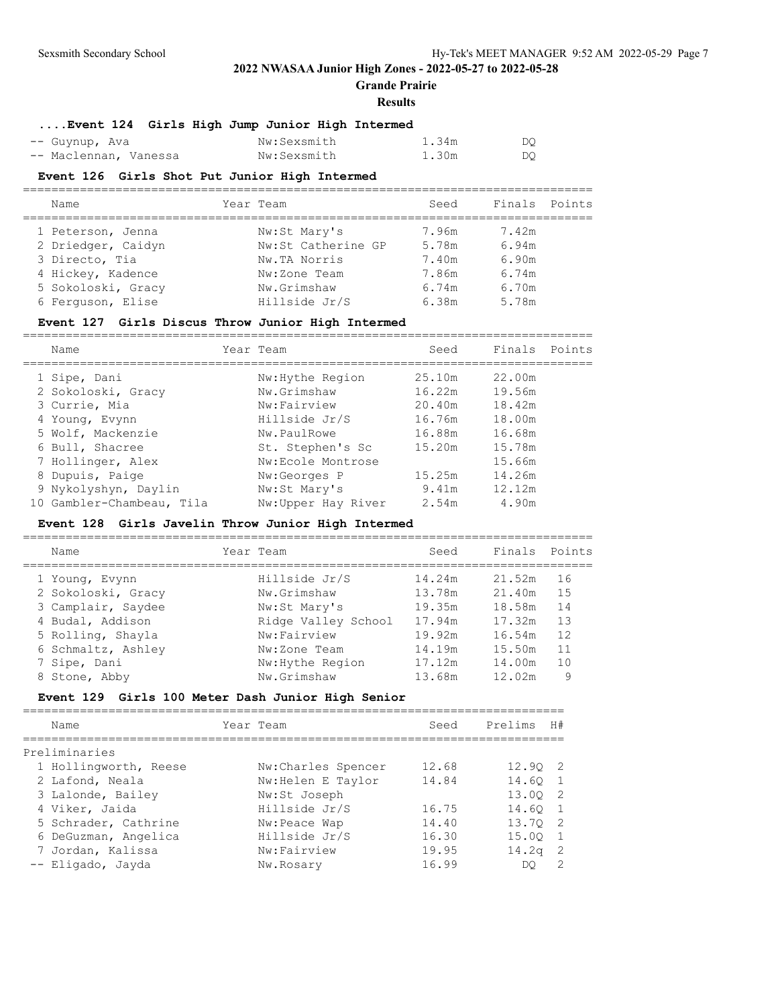**Grande Prairie**

#### **Results**

| Event 124 Girls High Jump Junior High Intermed |             |       |     |
|------------------------------------------------|-------------|-------|-----|
| -- Guynup, Ava                                 | Nw:Sexsmith | 1.34m | DQ. |
| -- Maclennan, Vanessa                          | Nw:Sexsmith | 1.30m | DQ. |

#### **Event 126 Girls Shot Put Junior High Intermed**

| Name               | Year Team          | Seed  | Finals Points |  |
|--------------------|--------------------|-------|---------------|--|
| 1 Peterson, Jenna  | Nw:St Mary's       | 7.96m | 7.42m         |  |
| 2 Driedger, Caidyn | Nw:St Catherine GP | 5.78m | 6.94m         |  |
| 3 Directo, Tia     | Nw.TA Norris       | 7.40m | 6.90m         |  |
| 4 Hickey, Kadence  | Nw:Zone Team       | 7.86m | 6.74m         |  |
| 5 Sokoloski, Gracy | Nw.Grimshaw        | 6.74m | 6.70m         |  |
| 6 Ferquson, Elise  | Hillside Jr/S      | 6.38m | 5.78m         |  |

## **Event 127 Girls Discus Throw Junior High Intermed**

| Name                      | Year Team |                    | Seed   | Finals Points |  |
|---------------------------|-----------|--------------------|--------|---------------|--|
| 1 Sipe, Dani              |           | Nw: Hythe Region   | 25.10m | 22.00m        |  |
| 2 Sokoloski, Gracy        |           | Nw.Grimshaw        | 16.22m | 19.56m        |  |
| 3 Currie, Mia             |           | Nw:Fairview        | 20.40m | 18.42m        |  |
| 4 Young, Evynn            |           | Hillside Jr/S      | 16.76m | 18.00m        |  |
| 5 Wolf, Mackenzie         |           | Nw.PaulRowe        | 16.88m | 16.68m        |  |
| 6 Bull, Shacree           |           | St. Stephen's Sc   | 15.20m | 15.78m        |  |
| 7 Hollinger, Alex         |           | Nw:Ecole Montrose  |        | 15.66m        |  |
| 8 Dupuis, Paige           |           | Nw:Georges P       | 15.25m | 14.26m        |  |
| 9 Nykolyshyn, Daylin      |           | Nw:St Mary's       | 9.41m  | 12.12m        |  |
| 10 Gambler-Chambeau, Tila |           | Nw:Upper Hay River | 2.54m  | 4.90m         |  |

## **Event 128 Girls Javelin Throw Junior High Intermed**

| Name               | Year Team           | Seed   | Finals | Points |
|--------------------|---------------------|--------|--------|--------|
| 1 Young, Evynn     | Hillside Jr/S       | 14.24m | 21.52m | 16     |
| 2 Sokoloski, Gracy | Nw.Grimshaw         | 13.78m | 21.40m | 15     |
| 3 Camplair, Saydee | Nw:St Mary's        | 19.35m | 18.58m | 14     |
| 4 Budal, Addison   | Ridge Valley School | 17.94m | 17.32m | 13     |
| 5 Rolling, Shayla  | Nw:Fairview         | 19.92m | 16.54m | 12     |
| 6 Schmaltz, Ashley | Nw:Zone Team        | 14.19m | 15.50m | 11     |
| 7 Sipe, Dani       | Nw: Hythe Region    | 17.12m | 14.00m | 10     |
| 8 Stone, Abby      | Nw.Grimshaw         | 13.68m | 12.02m | 9      |

============================================================================

### **Event 129 Girls 100 Meter Dash Junior High Senior**

| Name                  | Year Team           | Seed  | Prelims H# |                |
|-----------------------|---------------------|-------|------------|----------------|
| Preliminaries         |                     |       |            |                |
| 1 Hollingworth, Reese | Nw: Charles Spencer | 12.68 | 12.90 2    |                |
| 2 Lafond, Neala       | Nw: Helen E Taylor  | 14.84 | 14.60 1    |                |
| 3 Lalonde, Bailey     | Nw:St Joseph        |       | 13.00 2    |                |
| 4 Viker, Jaida        | Hillside Jr/S       | 16.75 | 14.60 1    |                |
| 5 Schrader, Cathrine  | Nw:Peace Wap        | 14.40 | 13.70 2    |                |
| 6 DeGuzman, Angelica  | Hillside Jr/S       | 16.30 | 15.00 1    |                |
| 7 Jordan, Kalissa     | Nw:Fairview         | 19.95 | $14.2q$ 2  |                |
| -- Eligado, Jayda     | Nw.Rosary           | 16.99 | DO.        | $\overline{2}$ |
|                       |                     |       |            |                |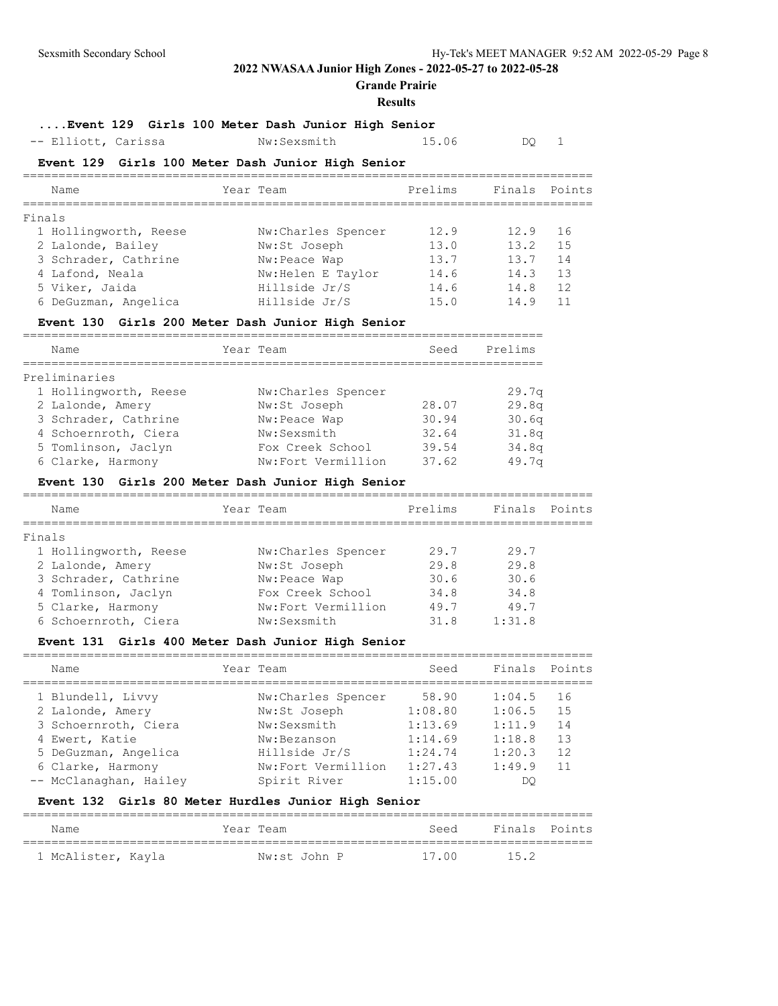**Grande Prairie**

#### **Results**

## **....Event 129 Girls 100 Meter Dash Junior High Senior**

-- Elliott, Carissa Mw:Sexsmith 15.06 DQ 1

### **Event 129 Girls 100 Meter Dash Junior High Senior**

| Name                  | Year Team           | Prelims | Finals Points |     |
|-----------------------|---------------------|---------|---------------|-----|
| Finals                |                     |         |               |     |
| 1 Hollingworth, Reese | Nw: Charles Spencer | 12.9    | 12.9          | 16  |
| 2 Lalonde, Bailey     | Nw:St Joseph        | 13.0    | 13.2          | 1.5 |
| 3 Schrader, Cathrine  | Nw: Peace Wap       | 13.7    | 13.7          | 14  |
| 4 Lafond, Neala       | Nw: Helen E Taylor  | 14.6    | 14.3          | 13  |
| 5 Viker, Jaida        | Hillside Jr/S       | 14.6    | 14.8          | 12  |
| 6 DeGuzman, Angelica  | Hillside Jr/S       | 15.0    | 14.9          | 11  |
|                       |                     |         |               |     |

### **Event 130 Girls 200 Meter Dash Junior High Senior**

| Name                  | Year Team           | Seed  | Prelims |
|-----------------------|---------------------|-------|---------|
| Preliminaries         |                     |       |         |
| 1 Hollingworth, Reese | Nw: Charles Spencer |       | 29.7q   |
| 2 Lalonde, Amery      | Nw:St Joseph        | 28.07 | 29.8q   |
| 3 Schrader, Cathrine  | Nw:Peace Wap        | 30.94 | 30.6q   |
| 4 Schoernroth, Ciera  | Nw:Sexsmith         | 32.64 | 31.8q   |
| 5 Tomlinson, Jaclyn   | Fox Creek School    | 39.54 | 34.8q   |
| 6 Clarke, Harmony     | Nw:Fort Vermillion  | 37.62 | 49.7q   |

## **Event 130 Girls 200 Meter Dash Junior High Senior**

| Name                  | Year Team          | Prelims | Finals Points |  |
|-----------------------|--------------------|---------|---------------|--|
| Finals                |                    |         |               |  |
| 1 Hollingworth, Reese | Nw:Charles Spencer | 29.7    | 29.7          |  |
| 2 Lalonde, Amery      | Nw:St Joseph       | 29.8    | 29.8          |  |
| 3 Schrader, Cathrine  | Nw: Peace Wap      | 30.6    | 30.6          |  |
| 4 Tomlinson, Jaclyn   | Fox Creek School   | 34.8    | 34.8          |  |
| 5 Clarke, Harmony     | Nw:Fort Vermillion | 49.7    | 49.7          |  |
| 6 Schoernroth, Ciera  | Nw:Sexsmith        | 31.8    | 1:31.8        |  |
|                       |                    |         |               |  |

## **Event 131 Girls 400 Meter Dash Junior High Senior**

| Name                   | Year Team          | Seed    | Finals Points |    |
|------------------------|--------------------|---------|---------------|----|
| 1 Blundell, Livvy      | Nw:Charles Spencer | 58.90   | 1:04.5        | 16 |
| 2 Lalonde, Amery       | Nw:St Joseph       | 1:08.80 | 1:06.5        | 15 |
| 3 Schoernroth, Ciera   | Nw:Sexsmith        | 1:13.69 | 1:11.9        | 14 |
| 4 Ewert, Katie         | Nw:Bezanson        | 1:14.69 | 1:18.8        | 13 |
| 5 DeGuzman, Angelica   | Hillside Jr/S      | 1:24.74 | 1:20.3        | 12 |
| 6 Clarke, Harmony      | Nw:Fort Vermillion | 1:27.43 | 1:49.9        | 11 |
| -- McClanaghan, Hailey | Spirit River       | 1:15.00 | DO            |    |

#### **Event 132 Girls 80 Meter Hurdles Junior High Senior**

| Name               | Year Team    | Seed  | Finals Points |  |
|--------------------|--------------|-------|---------------|--|
| 1 McAlister, Kayla | Nw:st John P | 17.00 | 15.2          |  |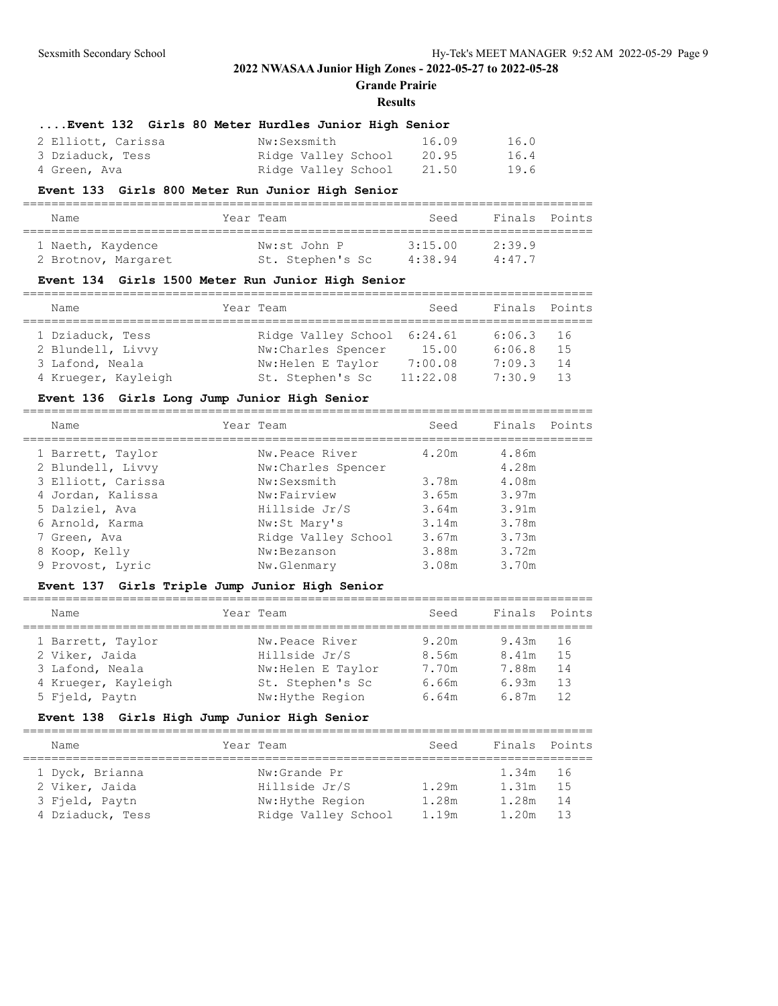**Grande Prairie**

#### **Results**

| Event 132 Girls 80 Meter Hurdles Junior High Senior |  |  |  |  |  |  |
|-----------------------------------------------------|--|--|--|--|--|--|
|-----------------------------------------------------|--|--|--|--|--|--|

| 2 Elliott, Carissa | Nw:Sexsmith         | 16.09 | 16.0 |
|--------------------|---------------------|-------|------|
| 3 Dziaduck, Tess   | Ridge Valley School | 20.95 | 16.4 |
| 4 Green, Ava       | Ridge Valley School | 21.50 | 19.6 |

#### **Event 133 Girls 800 Meter Run Junior High Senior**

| Name                | Year Team        | Seed    | Finals Points |  |
|---------------------|------------------|---------|---------------|--|
| 1 Naeth, Kaydence   | Nw:st John P     | 3:15.00 | 2:39.9        |  |
| 2 Brotnov, Margaret | St. Stephen's Sc | 4:38.94 | 4:47.7        |  |

### **Event 134 Girls 1500 Meter Run Junior High Senior**

| Name                | Year Team                   | Seed     | Finals Points |    |
|---------------------|-----------------------------|----------|---------------|----|
| 1 Dziaduck, Tess    | Ridge Valley School 6:24.61 |          | $6:06.3$ 16   |    |
| 2 Blundell, Livvy   | Nw:Charles Spencer          | 15.00    | 6:06.8        | 15 |
| 3 Lafond, Neala     | Nw: Helen E Taylor          | 7:00.08  | 7:09.3        | 14 |
| 4 Krueger, Kayleigh | St. Stephen's Sc            | 11:22.08 | 7:30.9        | 13 |

## **Event 136 Girls Long Jump Junior High Senior**

| Name               | Year Team           | Seed  | Finals Points |  |
|--------------------|---------------------|-------|---------------|--|
| 1 Barrett, Taylor  | Nw.Peace River      | 4.20m | 4.86m         |  |
| 2 Blundell, Livvy  | Nw:Charles Spencer  |       | 4.28m         |  |
| 3 Elliott, Carissa | Nw:Sexsmith         | 3.78m | 4.08m         |  |
| 4 Jordan, Kalissa  | Nw:Fairview         | 3.65m | 3.97m         |  |
| 5 Dalziel, Ava     | Hillside Jr/S       | 3.64m | 3.91m         |  |
| 6 Arnold, Karma    | Nw:St Mary's        | 3.14m | 3.78m         |  |
| 7 Green, Ava       | Ridge Valley School | 3.67m | 3.73m         |  |
| 8 Koop, Kelly      | Nw:Bezanson         | 3.88m | 3.72m         |  |
| 9 Provost, Lyric   | Nw.Glenmary         | 3.08m | 3.70m         |  |
|                    |                     |       |               |  |

## **Event 137 Girls Triple Jump Junior High Senior**

| Name                | Year Team         | Seed  | Finals Points |     |
|---------------------|-------------------|-------|---------------|-----|
| 1 Barrett, Taylor   | Nw.Peace River    | 9.20m | $9.43m$ 16    |     |
| 2 Viker, Jaida      | Hillside Jr/S     | 8.56m | 8.41m         | 1.5 |
| 3 Lafond, Neala     | Nw:Helen E Taylor | 7.70m | 7.88m         | 14  |
| 4 Krueger, Kayleigh | St. Stephen's Sc  | 6.66m | 6.93m         | 13  |
| 5 Fjeld, Paytn      | Nw: Hythe Region  | 6.64m | 6.87m         | 12  |

### **Event 138 Girls High Jump Junior High Senior**

| Name                                                                    | Year Team                                                                | Seed                      | Finals Points                      |                  |
|-------------------------------------------------------------------------|--------------------------------------------------------------------------|---------------------------|------------------------------------|------------------|
| 1 Dyck, Brianna<br>2 Viker, Jaida<br>3 Fjeld, Paytn<br>4 Dziaduck, Tess | Nw:Grande Pr<br>Hillside Jr/S<br>Nw: Hythe Region<br>Ridge Valley School | 1.29m<br>1.28m<br>1 1 9 m | 1.34m 16<br>1.31m<br>1.28m<br>120m | 15<br>- 14<br>13 |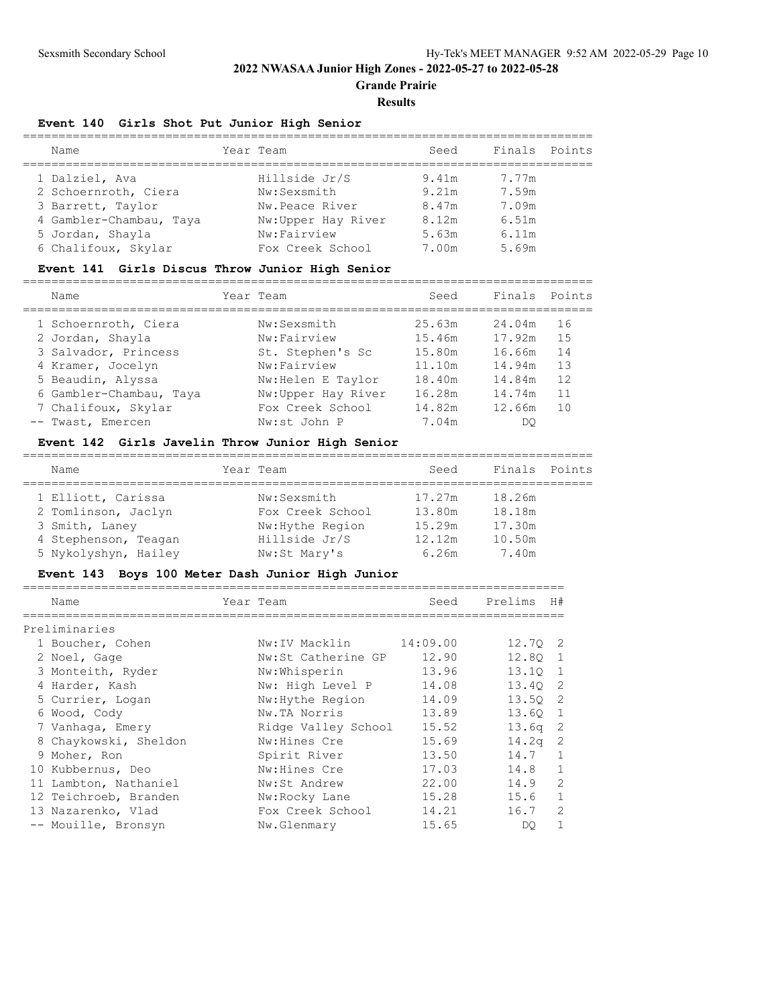### **Grande Prairie**

#### **Results**

#### **Event 140 Girls Shot Put Junior High Senior**

| Name                    | Year Team          | Seed  | Finals Points |  |
|-------------------------|--------------------|-------|---------------|--|
| 1 Dalziel, Ava          | Hillside Jr/S      | 9.41m | 7.77m         |  |
| 2 Schoernroth, Ciera    | Nw:Sexsmith        | 9.21m | 7.59m         |  |
| 3 Barrett, Taylor       | Nw.Peace River     | 8.47m | 7.09m         |  |
| 4 Gambler-Chambau, Taya | Nw:Upper Hay River | 8.12m | 6.51m         |  |
| 5 Jordan, Shayla        | Nw:Fairview        | 5.63m | 6.11m         |  |
| 6 Chalifoux, Skylar     | Fox Creek School   | 7.00m | 5.69m         |  |

#### **Event 141 Girls Discus Throw Junior High Senior**

================================================================================ Name Year Team Seed Finals Points ================================================================================ 1 Schoernroth, Ciera Nw:Sexsmith 25.63m 24.04m 16 2 Jordan, Shayla Nw:Fairview 15.46m 17.92m 15 3 Salvador, Princess St. Stephen's Sc 15.80m 16.66m 14 4 Kramer, Jocelyn Nw:Fairview 11.10m 14.94m 13 5 Beaudin, Alyssa Nw:Helen E Taylor 18.40m 14.84m 12 6 Gambler-Chambau, Taya Nw:Upper Hay River 16.28m 14.74m 11 7 Chalifoux, Skylar Fox Creek School 14.82m 12.66m 10 -- Twast, Emercen Nw:st John P 7.04m DQ

#### **Event 142 Girls Javelin Throw Junior High Senior**

| Name                 | Year Team        | Seed   | Finals | Points |
|----------------------|------------------|--------|--------|--------|
| 1 Elliott, Carissa   | Nw:Sexsmith      | 17.27m | 18.26m |        |
| 2 Tomlinson, Jaclyn  | Fox Creek School | 13.80m | 18.18m |        |
| 3 Smith, Laney       | Nw: Hythe Region | 15.29m | 17.30m |        |
| 4 Stephenson, Teagan | Hillside Jr/S    | 12.12m | 10.50m |        |
| 5 Nykolyshyn, Hailey | Nw:St Mary's     | 6.26m  | 7.40m  |        |

#### **Event 143 Boys 100 Meter Dash Junior High Junior**

| Name                  | Year Team           | Seed     | Prelims   | H#             |
|-----------------------|---------------------|----------|-----------|----------------|
| Preliminaries         |                     |          |           |                |
| 1 Boucher, Cohen      | Nw:IV Macklin       | 14:09.00 | 12.70 2   |                |
| 2 Noel, Gage          | Nw:St Catherine GP  | 12.90    | 12.80 1   |                |
| 3 Monteith, Ryder     | Nw:Whisperin        | 13.96    | 13.10 1   |                |
| 4 Harder, Kash        | Nw: High Level P    | 14.08    | 13.40 2   |                |
| 5 Currier, Logan      | Nw: Hythe Region    | 14.09    | 13.50 2   |                |
| 6 Wood, Cody          | Nw.TA Norris        | 13.89    | 13.60 1   |                |
| 7 Vanhaqa, Emery      | Ridge Valley School | 15.52    | $13.6q$ 2 |                |
| 8 Chaykowski, Sheldon | Nw: Hines Cre       | 15.69    | $14.2q$ 2 |                |
| 9 Moher, Ron          | Spirit River        | 13.50    | 14.7      | $\mathbf{1}$   |
| 10 Kubbernus, Deo     | Nw: Hines Cre       | 17.03    | 14.8      | $\mathbf{1}$   |
| 11 Lambton, Nathaniel | Nw:St Andrew        | 22.00    | 14.9      | $\overline{c}$ |
| 12 Teichroeb, Branden | Nw:Rocky Lane       | 15.28    | 15.6      | $\mathbf{1}$   |
| 13 Nazarenko, Vlad    | Fox Creek School    | 14.21    | 16.7      | $\overline{2}$ |
| -- Mouille, Bronsyn   | Nw.Glenmary         | 15.65    | DO        | 1              |
|                       |                     |          |           |                |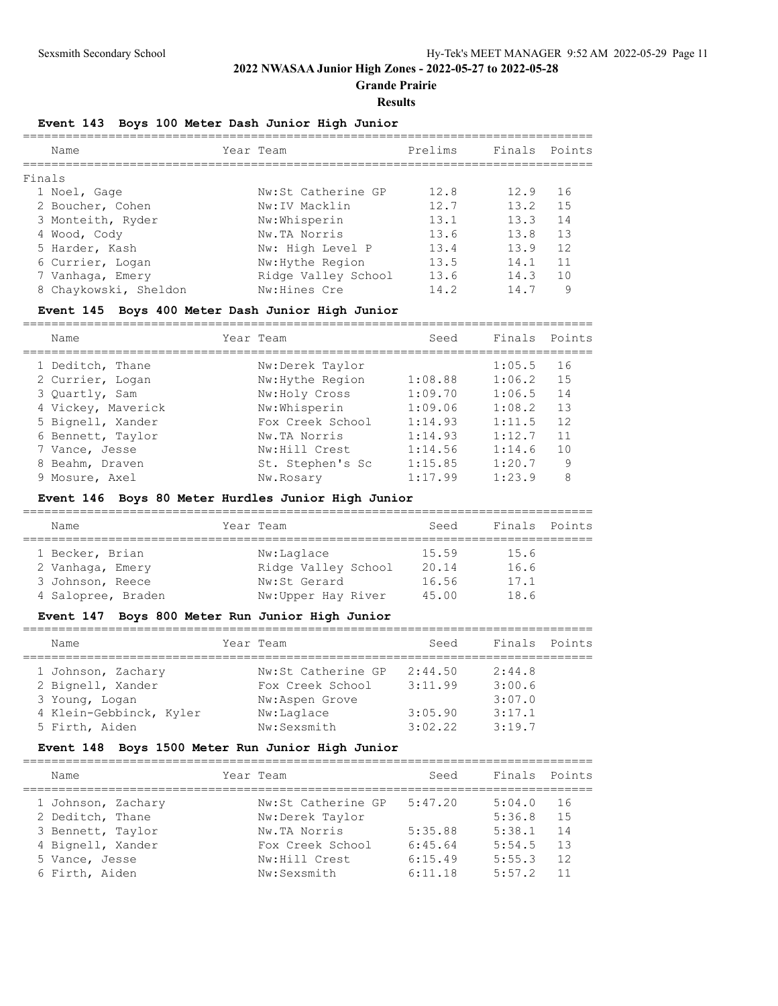**Grande Prairie**

#### **Results**

## **Event 143 Boys 100 Meter Dash Junior High Junior**

| Name                  | Year Team           | Prelims | Finals | Points         |
|-----------------------|---------------------|---------|--------|----------------|
| Finals                |                     |         |        |                |
| 1 Noel, Gage          | Nw:St Catherine GP  | 12.8    | 12.9   | 16             |
| 2 Boucher, Cohen      | Nw:IV Macklin       | 12.7    | 13.2   | 15             |
| 3 Monteith, Ryder     | Nw:Whisperin        | 13.1    | 13.3   | 14             |
| 4 Wood, Cody          | Nw.TA Norris        | 13.6    | 13.8   | 13             |
| 5 Harder, Kash        | Nw: High Level P    | 13.4    | 13.9   | 12             |
| 6 Currier, Logan      | Nw: Hythe Region    | 13.5    | 14.1   | 11             |
| 7 Vanhaqa, Emery      | Ridge Valley School | 13.6    | 14.3   | 1 <sub>0</sub> |
| 8 Chaykowski, Sheldon | Nw:Hines Cre        | 14.2    | 14.7   | 9              |
|                       |                     |         |        |                |

## **Event 145 Boys 400 Meter Dash Junior High Junior**

| Name               | Year Team        | Seed    | Finals | Points |
|--------------------|------------------|---------|--------|--------|
| 1 Deditch, Thane   | Nw:Derek Taylor  |         | 1:05.5 | 16     |
| 2 Currier, Logan   | Nw: Hythe Region | 1:08.88 | 1:06.2 | 15     |
| 3 Quartly, Sam     | Nw:Holy Cross    | 1:09.70 | 1:06.5 | 14     |
| 4 Vickey, Maverick | Nw:Whisperin     | 1:09.06 | 1:08.2 | 13     |
| 5 Bignell, Xander  | Fox Creek School | 1:14.93 | 1:11.5 | 12     |
| 6 Bennett, Taylor  | Nw.TA Norris     | 1:14.93 | 1:12.7 | 11     |
| 7 Vance, Jesse     | Nw: Hill Crest   | 1:14.56 | 1:14.6 | 10     |
| 8 Beahm, Draven    | St. Stephen's Sc | 1:15.85 | 1:20.7 | 9      |
| 9 Mosure, Axel     | Nw.Rosary        | 1:17.99 | 1:23.9 | 8      |
|                    |                  |         |        |        |

# **Event 146 Boys 80 Meter Hurdles Junior High Junior**

| Name               | Year Team           | Seed  | Finals Points |  |
|--------------------|---------------------|-------|---------------|--|
| 1 Becker, Brian    | Nw:Laglace          | 15.59 | 15.6          |  |
| 2 Vanhaga, Emery   | Ridge Valley School | 20.14 | 16.6          |  |
| 3 Johnson, Reece   | Nw:St Gerard        | 16.56 | 17.1          |  |
| 4 Salopree, Braden | Nw:Upper Hay River  | 45.00 | 18.6          |  |

### **Event 147 Boys 800 Meter Run Junior High Junior**

| Name                    | Year Team          | Seed    | Finals Points |  |
|-------------------------|--------------------|---------|---------------|--|
| 1 Johnson, Zachary      | Nw:St Catherine GP | 2:44.50 | 2:44.8        |  |
| 2 Bignell, Xander       | Fox Creek School   | 3:11.99 | 3:00.6        |  |
| 3 Young, Logan          | Nw:Aspen Grove     |         | 3:07.0        |  |
| 4 Klein-Gebbinck, Kyler | Nw:Laglace         | 3:05.90 | 3:17.1        |  |
| 5 Firth, Aiden          | Nw:Sexsmith        | 3:02.22 | 3:19.7        |  |

## **Event 148 Boys 1500 Meter Run Junior High Junior**

| Name                                   | Year Team                         | Seed               | Finals           | Points    |
|----------------------------------------|-----------------------------------|--------------------|------------------|-----------|
| 1 Johnson, Zachary<br>2 Deditch, Thane | Nw:St Catherine GP                | 5:47.20            | 5:04.0<br>5:36.8 | 16<br>1.5 |
| 3 Bennett, Taylor                      | Nw:Derek Taylor<br>Nw.TA Norris   | 5:35.88            | 5:38.1           | 14        |
| 4 Bignell, Xander<br>5 Vance, Jesse    | Fox Creek School<br>Nw:Hill Crest | 6:45.64<br>6:15.49 | 5:54.5<br>5:55.3 | 13<br>12  |
| 6 Firth, Aiden                         | Nw:Sexsmith                       | 6:11.18            | 5:57.2           | 11        |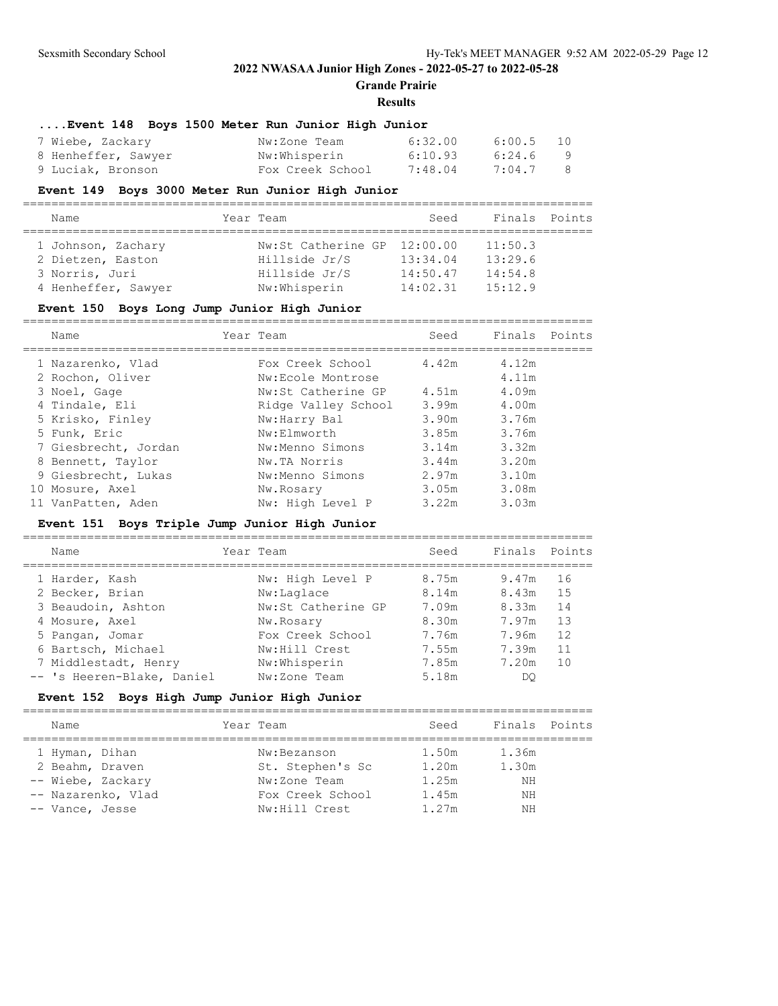**Grande Prairie**

================================================================================

#### **Results**

#### **....Event 148 Boys 1500 Meter Run Junior High Junior**

| 7 Wiebe, Zackary    | Nw:Zone Team     | 6:32.00 | 6:00.5 10 |  |
|---------------------|------------------|---------|-----------|--|
| 8 Henheffer, Sawyer | Nw:Whisperin     | 6:10.93 | 6:24.69   |  |
| 9 Luciak, Bronson   | Fox Creek School | 7:48.04 | 7:04.7 8  |  |

#### **Event 149 Boys 3000 Meter Run Junior High Junior**

| Name                |  | Year Team                   | Seed     | Finals Points |  |  |  |
|---------------------|--|-----------------------------|----------|---------------|--|--|--|
|                     |  |                             |          |               |  |  |  |
| 1 Johnson, Zachary  |  | Nw:St Catherine GP 12:00.00 |          | 11:50.3       |  |  |  |
| 2 Dietzen, Easton   |  | Hillside Jr/S               | 13:34.04 | 13:29.6       |  |  |  |
| 3 Norris, Juri      |  | Hillside Jr/S               | 14:50.47 | 14:54.8       |  |  |  |
| 4 Henheffer, Sawyer |  | Nw:Whisperin                | 14:02.31 | 15:12.9       |  |  |  |

#### **Event 150 Boys Long Jump Junior High Junior**

| Name                 | Year Team           | Seed  | Finals Points |  |
|----------------------|---------------------|-------|---------------|--|
| 1 Nazarenko, Vlad    | Fox Creek School    | 4.42m | 4.12m         |  |
| 2 Rochon, Oliver     | Nw:Ecole Montrose   |       | 4.11m         |  |
| 3 Noel, Gage         | Nw:St Catherine GP  | 4.51m | 4.09m         |  |
| 4 Tindale, Eli       | Ridge Valley School | 3.99m | 4.00m         |  |
| 5 Krisko, Finley     | Nw:Harry Bal        | 3.90m | 3.76m         |  |
| 5 Funk, Eric         | Nw:Elmworth         | 3.85m | 3.76m         |  |
| 7 Giesbrecht, Jordan | Nw:Menno Simons     | 3.14m | 3.32m         |  |
| 8 Bennett, Taylor    | Nw.TA Norris        | 3.44m | 3.20m         |  |
| 9 Giesbrecht, Lukas  | Nw:Menno Simons     | 2.97m | 3.10m         |  |
| 10 Mosure, Axel      | Nw.Rosary           | 3.05m | 3.08m         |  |
| 11 VanPatten, Aden   | Nw: High Level P    | 3.22m | 3.03m         |  |

### **Event 151 Boys Triple Jump Junior High Junior**

================================================================================ Name Year Team Seed Finals Points ================================================================================ 1 Harder, Kash Nw: High Level P 8.75m 9.47m 16 2 Becker, Brian Mw:Laglace 8.14m 8.43m 15 3 Beaudoin, Ashton Nw:St Catherine GP 7.09m 8.33m 14 4 Mosure, Axel Nw.Rosary 8.30m 7.97m 13 5 Pangan, Jomar Fox Creek School 7.76m 7.96m 12 6 Bartsch, Michael Nw:Hill Crest 7.55m 7.39m 11 7 Middlestadt, Henry Nw:Whisperin 7.85m 7.20m 10 -- 's Heeren-Blake, Daniel Nw:Zone Team 5.18m DQ

### **Event 152 Boys High Jump Junior High Junior**

| Name               | Year Team        | Seed  | Finals Points |  |
|--------------------|------------------|-------|---------------|--|
| 1 Hyman, Dihan     | Nw:Bezanson      | 1.50m | 1.36m         |  |
| 2 Beahm, Draven    | St. Stephen's Sc | 1.20m | 1.30m         |  |
| -- Wiebe, Zackary  | Nw:Zone Team     | 1.25m | NΗ            |  |
| -- Nazarenko, Vlad | Fox Creek School | 1.45m | NΗ            |  |
| -- Vance, Jesse    | Nw:Hill Crest    | 1.27m | ΝH            |  |
|                    |                  |       |               |  |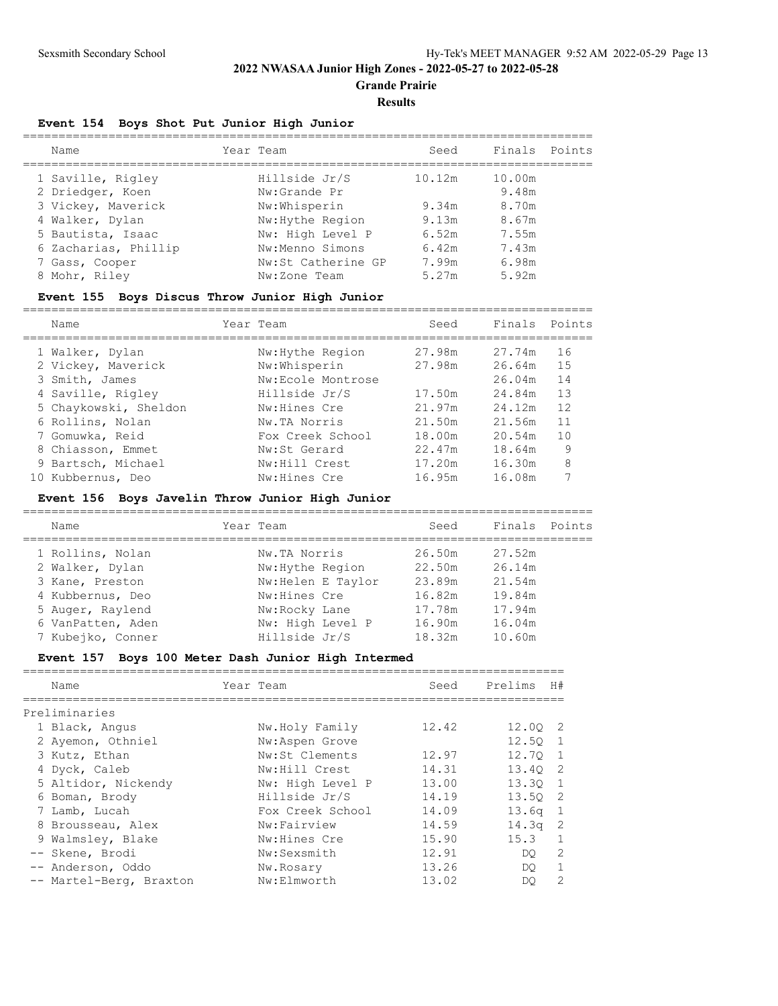**Grande Prairie**

#### **Results**

### **Event 154 Boys Shot Put Junior High Junior**

| Name                 | Year Team          | Seed   | Finals | Points |
|----------------------|--------------------|--------|--------|--------|
| 1 Saville, Rigley    | Hillside Jr/S      | 10.12m | 10.00m |        |
| 2 Driedger, Koen     | Nw:Grande Pr       |        | 9.48m  |        |
| 3 Vickey, Maverick   | Nw:Whisperin       | 9.34m  | 8.70m  |        |
| 4 Walker, Dylan      | Nw: Hythe Region   | 9.13m  | 8.67m  |        |
| 5 Bautista, Isaac    | Nw: High Level P   | 6.52m  | 7.55m  |        |
| 6 Zacharias, Phillip | Nw:Menno Simons    | 6.42m  | 7.43m  |        |
| 7 Gass, Cooper       | Nw:St Catherine GP | 7.99m  | 6.98m  |        |
| 8 Mohr, Riley        | Nw:Zone Team       | 5.27m  | 5.92m  |        |

### **Event 155 Boys Discus Throw Junior High Junior**

================================================================================

| Name                  |                   | Seed      |        |               |
|-----------------------|-------------------|-----------|--------|---------------|
| 1 Walker, Dylan       | Nw: Hythe Region  | 27.98m    | 27.74m | 16            |
| 2 Vickey, Maverick    | Nw:Whisperin      | 27.98m    | 26.64m | 15            |
| 3 Smith, James        | Nw:Ecole Montrose |           | 26.04m | 14            |
| 4 Saville, Rigley     | Hillside Jr/S     | 17.50m    | 24.84m | 13            |
| 5 Chaykowski, Sheldon | Nw: Hines Cre     | 21.97m    | 24.12m | 12            |
| 6 Rollins, Nolan      | Nw.TA Norris      | 21.50m    | 21.56m | 11            |
| 7 Gomuwka, Reid       | Fox Creek School  | 18.00m    | 20.54m | 10            |
| 8 Chiasson, Emmet     | Nw:St Gerard      | 22.47m    | 18.64m | 9             |
| 9 Bartsch, Michael    | Nw:Hill Crest     | 17.20m    | 16.30m | 8             |
| Kubbernus, Deo        | Nw:Hines Cre      | 16.95m    | 16.08m | 7             |
|                       |                   | Year Team |        | Finals Points |

## **Event 156 Boys Javelin Throw Junior High Junior**

| Name              | Year Team          | Seed   | Finals Points |  |
|-------------------|--------------------|--------|---------------|--|
| 1 Rollins, Nolan  | Nw.TA Norris       | 26.50m | 27.52m        |  |
| 2 Walker, Dylan   | Nw: Hythe Region   | 22.50m | 26.14m        |  |
| 3 Kane, Preston   | Nw: Helen E Taylor | 23.89m | 21.54m        |  |
| 4 Kubbernus, Deo  | Nw:Hines Cre       | 16.82m | 19.84m        |  |
| 5 Auger, Raylend  | Nw:Rocky Lane      | 17.78m | 17.94m        |  |
| 6 VanPatten, Aden | Nw: High Level P   | 16.90m | 16.04m        |  |
| 7 Kubejko, Conner | Hillside Jr/S      | 18.32m | 10.60m        |  |

## **Event 157 Boys 100 Meter Dash Junior High Intermed**

| Name                    | Year Team        | Seed  | Prelims           | H#             |
|-------------------------|------------------|-------|-------------------|----------------|
| Preliminaries           |                  |       |                   |                |
| 1 Black, Angus          | Nw.Holy Family   | 12.42 | 12.00 2           |                |
| 2 Ayemon, Othniel       | Nw:Aspen Grove   |       | 12.50 1           |                |
| 3 Kutz, Ethan           | Nw:St Clements   | 12.97 | 12.70 1           |                |
| 4 Dyck, Caleb           | Nw:Hill Crest    | 14.31 | 13.40 2           |                |
| 5 Altidor, Nickendy     | Nw: High Level P | 13.00 | $13.30 \quad 1$   |                |
| 6 Boman, Brody          | Hillside Jr/S    | 14.19 | 13.50 2           |                |
| 7 Lamb, Lucah           | Fox Creek School | 14.09 | 13.6 <sub>q</sub> | $\overline{1}$ |
| 8 Brousseau, Alex       | Nw:Fairview      | 14.59 | $14.3q$ 2         |                |
| 9 Walmsley, Blake       | Nw: Hines Cre    | 15.90 | $15.3 \t1$        |                |
| -- Skene, Brodi         | Nw:Sexsmith      | 12.91 | DO                | 2              |
| -- Anderson, Oddo       | Nw.Rosary        | 13.26 | DO.               | 1              |
| -- Martel-Berg, Braxton | Nw:Elmworth      | 13.02 | DO                | 2              |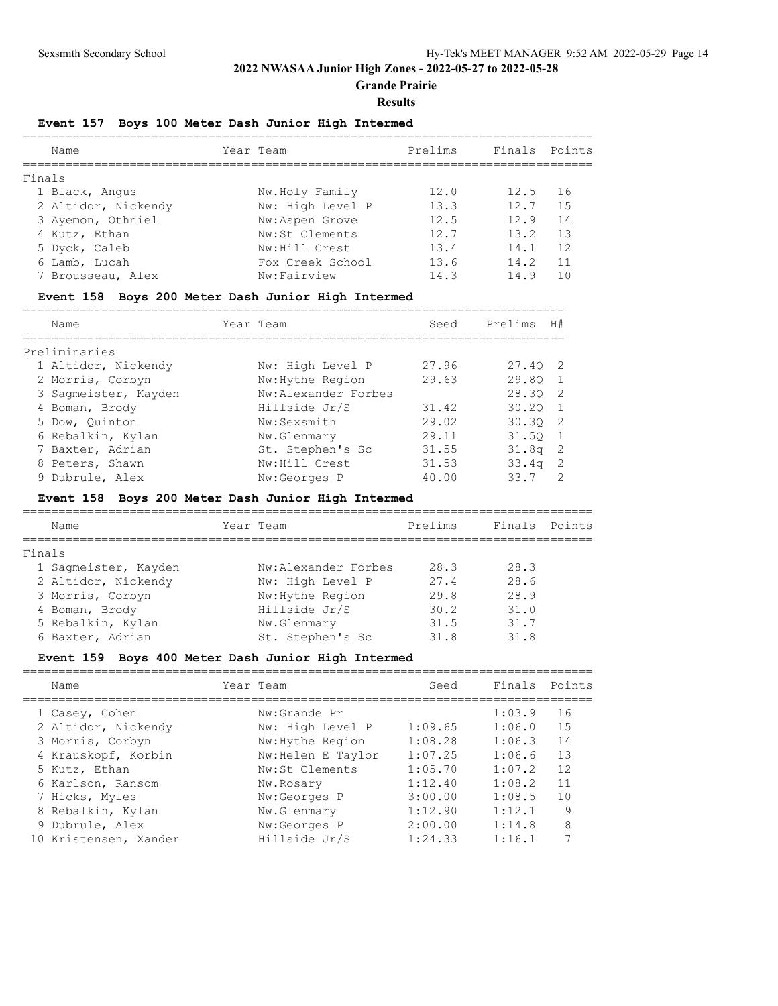**Grande Prairie**

#### **Results**

# **Event 157 Boys 100 Meter Dash Junior High Intermed**

| Name                | Year Team        | Prelims | Finals Points |     |
|---------------------|------------------|---------|---------------|-----|
| Finals              |                  |         |               |     |
| 1 Black, Angus      | Nw.Holy Family   | 12.0    | 12.5          | 16  |
| 2 Altidor, Nickendy | Nw: High Level P | 13.3    | 12.7          | 1.5 |
| 3 Ayemon, Othniel   | Nw:Aspen Grove   | 12.5    | 12.9          | 14  |
| 4 Kutz, Ethan       | Nw:St Clements   | 12.7    | 13.2          | 13  |
| 5 Dyck, Caleb       | Nw: Hill Crest   | 13.4    | 14.1          | 12  |
| 6 Lamb, Lucah       | Fox Creek School | 13.6    | 14.2          | 11  |
| 7 Brousseau, Alex   | Nw:Fairview      | 14.3    | 14.9          | 1 N |
|                     |                  |         |               |     |

### **Event 158 Boys 200 Meter Dash Junior High Intermed**

============================================================================ Name Year Team Seed Prelims H#

| name                 | rear ream           | seea  | Preiims         | H \#           |
|----------------------|---------------------|-------|-----------------|----------------|
| Preliminaries        |                     |       |                 |                |
| 1 Altidor, Nickendy  | Nw: High Level P    | 27.96 | 27.40 2         |                |
| 2 Morris, Corbyn     | Nw: Hythe Region    | 29.63 | 29.80 1         |                |
| 3 Sagmeister, Kayden | Nw:Alexander Forbes |       | 28.30 2         |                |
| 4 Boman, Brody       | Hillside Jr/S       | 31.42 | $30.20 \quad 1$ |                |
| 5 Dow, Ouinton       | Nw:Sexsmith         | 29.02 | 30.302          |                |
| 6 Rebalkin, Kylan    | Nw.Glenmary         | 29.11 | 31.50 1         |                |
| 7 Baxter, Adrian     | St. Stephen's Sc    | 31.55 | 31.8a           | $\overline{2}$ |
| 8 Peters, Shawn      | Nw: Hill Crest      | 31.53 | 33.4q           | $\overline{2}$ |
| 9 Dubrule, Alex      | Nw:Georges P        | 40.00 | 33.7            | $\mathcal{P}$  |

#### **Event 158 Boys 200 Meter Dash Junior High Intermed**

|        | Name                 | Year Team           | Prelims | Finals | Points |
|--------|----------------------|---------------------|---------|--------|--------|
| Finals |                      |                     |         |        |        |
|        | 1 Sagmeister, Kayden | Nw:Alexander Forbes | 28.3    | 28.3   |        |
|        | 2 Altidor, Nickendy  | Nw: High Level P    | 27.4    | 28.6   |        |
|        | 3 Morris, Corbyn     | Nw: Hythe Region    | 29.8    | 28.9   |        |
|        | 4 Boman, Brody       | Hillside Jr/S       | 30.2    | 31.0   |        |
|        | 5 Rebalkin, Kylan    | Nw.Glenmary         | 31.5    | 31.7   |        |
|        | 6 Baxter, Adrian     | St. Stephen's Sc    | 31.8    | 31.8   |        |

## **Event 159 Boys 400 Meter Dash Junior High Intermed**

| Name                  | Year Team          | Seed    | Finals Points |                |
|-----------------------|--------------------|---------|---------------|----------------|
| 1 Casey, Cohen        | Nw:Grande Pr       |         | 1:03.9        | 16             |
| 2 Altidor, Nickendy   | Nw: High Level P   | 1:09.65 | 1:06.0        | 15             |
| 3 Morris, Corbyn      | Nw: Hythe Region   | 1:08.28 | 1:06.3        | 14             |
| 4 Krauskopf, Korbin   | Nw: Helen E Taylor | 1:07.25 | 1:06.6        | 13             |
| 5 Kutz, Ethan         | Nw:St Clements     | 1:05.70 | 1:07.2        | 12             |
| 6 Karlson, Ransom     | Nw.Rosary          | 1:12.40 | 1:08.2        | 11             |
| 7 Hicks, Myles        | Nw:Georges P       | 3:00.00 | 1:08.5        | 1 <sub>0</sub> |
| 8 Rebalkin, Kylan     | Nw.Glenmary        | 1:12.90 | 1:12.1        | 9              |
| 9 Dubrule, Alex       | Nw:Georges P       | 2:00.00 | 1:14.8        | 8              |
| 10 Kristensen, Xander | Hillside Jr/S      | 1:24.33 | 1:16.1        |                |
|                       |                    |         |               |                |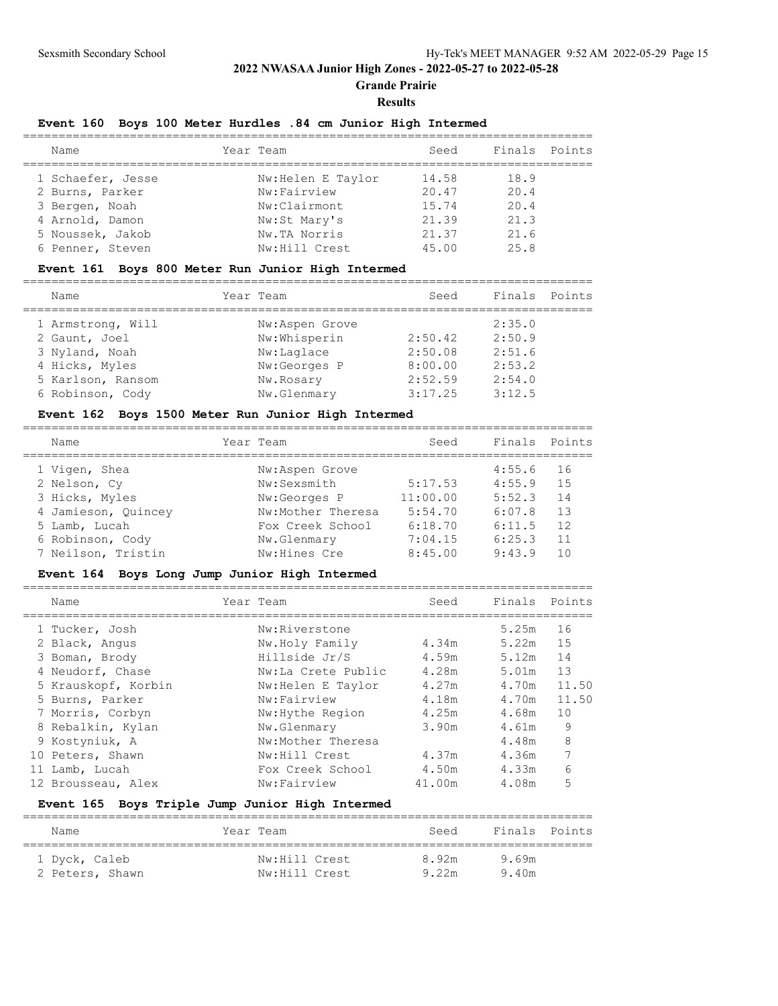**Grande Prairie**

#### **Results**

## **Event 160 Boys 100 Meter Hurdles .84 cm Junior High Intermed**

| Name              | Year Team          | Seed  | Finals Points |  |
|-------------------|--------------------|-------|---------------|--|
| 1 Schaefer, Jesse | Nw: Helen E Taylor | 14.58 | 18.9          |  |
| 2 Burns, Parker   | Nw:Fairview        | 20.47 | 20.4          |  |
| 3 Bergen, Noah    | Nw:Clairmont       | 15.74 | 20.4          |  |
| 4 Arnold, Damon   | Nw:St Mary's       | 21.39 | 21.3          |  |
| 5 Noussek, Jakob  | Nw.TA Norris       | 21.37 | 21.6          |  |
| 6 Penner, Steven  | Nw: Hill Crest     | 45.00 | 2.5.8         |  |

## **Event 161 Boys 800 Meter Run Junior High Intermed**

| Name              | Year Team      | Seed    | Finals Points |  |
|-------------------|----------------|---------|---------------|--|
| 1 Armstrong, Will | Nw:Aspen Grove |         | 2:35.0        |  |
| 2 Gaunt, Joel     | Nw:Whisperin   | 2:50.42 | 2:50.9        |  |
| 3 Nyland, Noah    | Nw:Laglace     | 2:50.08 | 2:51.6        |  |
| 4 Hicks, Myles    | Nw:Georges P   | 8:00.00 | 2:53.2        |  |
| 5 Karlson, Ransom | Nw.Rosary      | 2:52.59 | 2:54.0        |  |
| 6 Robinson, Cody  | Nw.Glenmary    | 3:17.25 | 3:12.5        |  |
|                   |                |         |               |  |

## **Event 162 Boys 1500 Meter Run Junior High Intermed**

| Name                | Year Team         | Seed     | Finals Points |     |
|---------------------|-------------------|----------|---------------|-----|
| 1 Vigen, Shea       | Nw:Aspen Grove    |          | 4:55.6        | 16  |
| 2 Nelson, Cy        | Nw:Sexsmith       | 5:17.53  | 4:55.9        | 1.5 |
| 3 Hicks, Myles      | Nw:Georges P      | 11:00.00 | 5:52.3        | 14  |
| 4 Jamieson, Quincey | Nw:Mother Theresa | 5:54.70  | 6:07.8        | 13  |
| 5 Lamb, Lucah       | Fox Creek School  | 6:18.70  | 6:11.5        | 12  |
| 6 Robinson, Cody    | Nw.Glenmary       | 7:04.15  | 6:25.3        | 11  |
| 7 Neilson, Tristin  | Nw: Hines Cre     | 8:45.00  | 9:43.9        |     |
|                     |                   |          |               |     |

### **Event 164 Boys Long Jump Junior High Intermed**

| Name |                                                                                                                                                                                                                                            |                    | Seed      | Finals | Points |
|------|--------------------------------------------------------------------------------------------------------------------------------------------------------------------------------------------------------------------------------------------|--------------------|-----------|--------|--------|
|      |                                                                                                                                                                                                                                            | Nw:Riverstone      |           | 5.25m  | 16     |
|      |                                                                                                                                                                                                                                            | Nw.Holy Family     | 4.34m     | 5.22m  | 1.5    |
|      |                                                                                                                                                                                                                                            | Hillside Jr/S      | 4.59m     | 5.12m  | 14     |
|      |                                                                                                                                                                                                                                            | Nw:La Crete Public | 4.28m     | 5.01m  | 13     |
|      |                                                                                                                                                                                                                                            | Nw:Helen E Taylor  | 4.27m     | 4.70m  | 11.50  |
|      |                                                                                                                                                                                                                                            | Nw:Fairview        | 4.18m     | 4.70m  | 11.50  |
|      |                                                                                                                                                                                                                                            | Nw: Hythe Region   | 4.25m     | 4.68m  | 10     |
|      |                                                                                                                                                                                                                                            | Nw.Glenmary        | 3.90m     | 4.61m  | 9      |
|      |                                                                                                                                                                                                                                            | Nw:Mother Theresa  |           | 4.48m  | 8      |
|      |                                                                                                                                                                                                                                            | Nw:Hill Crest      | 4.37m     | 4.36m  | 7      |
|      |                                                                                                                                                                                                                                            | Fox Creek School   | 4.50m     | 4.33m  | 6      |
|      |                                                                                                                                                                                                                                            | Nw:Fairview        | 41.00m    | 4.08m  | 5      |
|      | 1 Tucker, Josh<br>2 Black, Angus<br>3 Boman, Brody<br>4 Neudorf, Chase<br>5 Krauskopf, Korbin<br>5 Burns, Parker<br>7 Morris, Corbyn<br>8 Rebalkin, Kylan<br>9 Kostyniuk, A<br>10 Peters, Shawn<br>Lamb, Lucah<br>11<br>12 Brousseau, Alex |                    | Year Team |        |        |

### **Event 165 Boys Triple Jump Junior High Intermed**

| Name                             | Year Team                      | Seed           | Finals Points  |  |
|----------------------------------|--------------------------------|----------------|----------------|--|
| 1 Dyck, Caleb<br>2 Peters, Shawn | Nw:Hill Crest<br>Nw:Hill Crest | 8.92m<br>9.22m | 9.69m<br>9.40m |  |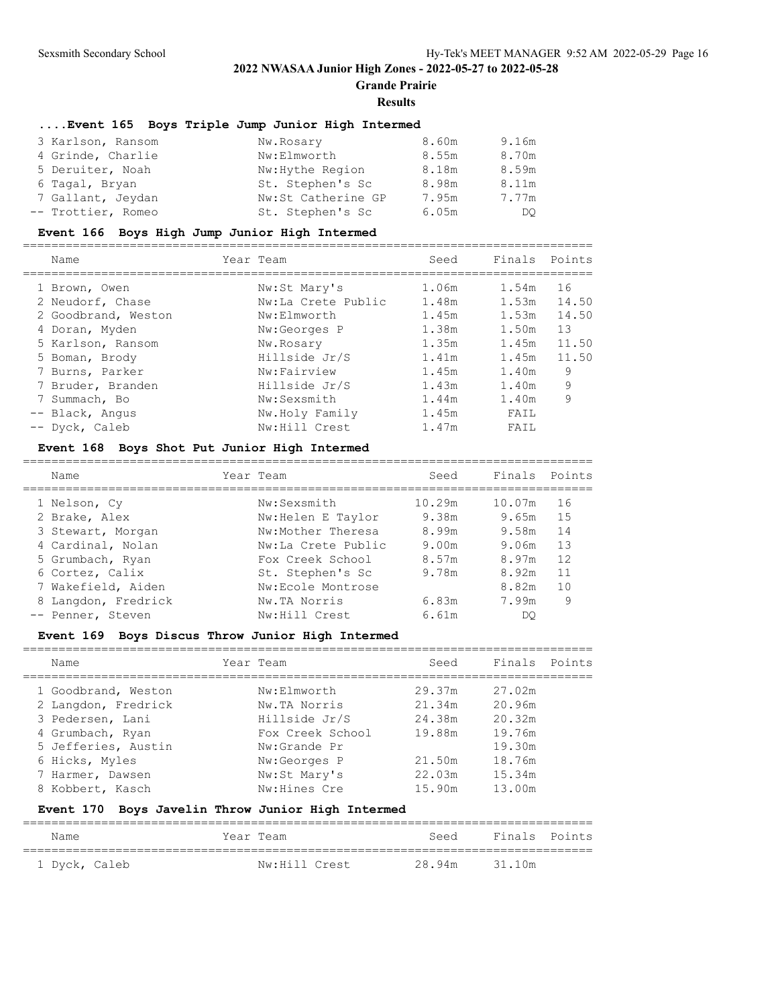**Grande Prairie**

#### **Results**

#### **....Event 165 Boys Triple Jump Junior High Intermed**

| 3 Karlson, Ransom  | Nw.Rosary          | 8.60m | 9.16m |
|--------------------|--------------------|-------|-------|
| 4 Grinde, Charlie  | Nw:Elmworth        | 8.55m | 8.70m |
| 5 Deruiter, Noah   | Nw: Hythe Region   | 8.18m | 8.59m |
| 6 Tagal, Bryan     | St. Stephen's Sc   | 8.98m | 8.11m |
| 7 Gallant, Jeydan  | Nw:St Catherine GP | 7.95m | 7.77m |
| -- Trottier, Romeo | St. Stephen's Sc   | 6.05m | DO    |

#### **Event 166 Boys High Jump Junior High Intermed**

================================================================================ Name Year Team Seed Finals Points ================================================================================ 1 Brown, Owen Nw:St Mary's 1.06m 1.54m 16 2 Neudorf, Chase  $Nw:$  La Crete Public  $1.48m$   $1.53m$   $14.50$  2 Goodbrand, Weston Nw:Elmworth 1.45m 1.53m 14.50 4 Doran, Myden Nw:Georges P 1.38m 1.50m 13 5 Karlson, Ransom Nw.Rosary 1.35m 1.45m 11.50 5 Boman, Brody Hillside Jr/S 1.41m 1.45m 11.50 7 Burns, Parker Nw:Fairview 1.45m 1.40m 9 7 Bruder, Branden Hillside Jr/S 1.43m 1.40m 9 7 Summach, Bo Nw:Sexsmith 1.44m 1.40m 9 -- Black, Angus Nw.Holy Family 1.45m FAIL -- Dyck, Caleb Nw:Hill Crest 1.47m FAIL

#### **Event 168 Boys Shot Put Junior High Intermed**

| Name                | Year Team          | Seed   | Finals Points |    |
|---------------------|--------------------|--------|---------------|----|
| 1 Nelson, Cy        | Nw:Sexsmith        | 10.29m | 10.07m        | 16 |
| 2 Brake, Alex       | Nw:Helen E Taylor  | 9.38m  | 9.65m         | 15 |
| 3 Stewart, Morgan   | Nw:Mother Theresa  | 8.99m  | 9.58m         | 14 |
| 4 Cardinal, Nolan   | Nw:La Crete Public | 9.00m  | 9.06m         | 13 |
| 5 Grumbach, Ryan    | Fox Creek School   | 8.57m  | 8.97m         | 12 |
| 6 Cortez, Calix     | St. Stephen's Sc   | 9.78m  | 8.92m         | 11 |
| 7 Wakefield, Aiden  | Nw:Ecole Montrose  |        | 8.82m         | 10 |
| 8 Langdon, Fredrick | Nw.TA Norris       | 6.83m  | 7.99m         | 9  |
| -- Penner, Steven   | Nw:Hill Crest      | 6.61m  | DO            |    |
|                     |                    |        |               |    |

### **Event 169 Boys Discus Throw Junior High Intermed**

| Name                | Year Team        | Seed   | Finals | Points |
|---------------------|------------------|--------|--------|--------|
| 1 Goodbrand, Weston | Nw:Elmworth      | 29.37m | 27.02m |        |
| 2 Langdon, Fredrick | Nw.TA Norris     | 21.34m | 20.96m |        |
| 3 Pedersen, Lani    | Hillside Jr/S    | 24.38m | 20.32m |        |
| 4 Grumbach, Ryan    | Fox Creek School | 19.88m | 19.76m |        |
| 5 Jefferies, Austin | Nw:Grande Pr     |        | 19.30m |        |
| 6 Hicks, Myles      | Nw:Georges P     | 21.50m | 18.76m |        |
| 7 Harmer, Dawsen    | Nw:St Mary's     | 22.03m | 15.34m |        |
| 8 Kobbert, Kasch    | Nw: Hines Cre    | 15.90m | 13.00m |        |
|                     |                  |        |        |        |

### **Event 170 Boys Javelin Throw Junior High Intermed**

| Name          | Year Team     | Seed          | Finals Points |  |
|---------------|---------------|---------------|---------------|--|
| 1 Dyck, Caleb | Nw:Hill Crest | 28.94m 31.10m |               |  |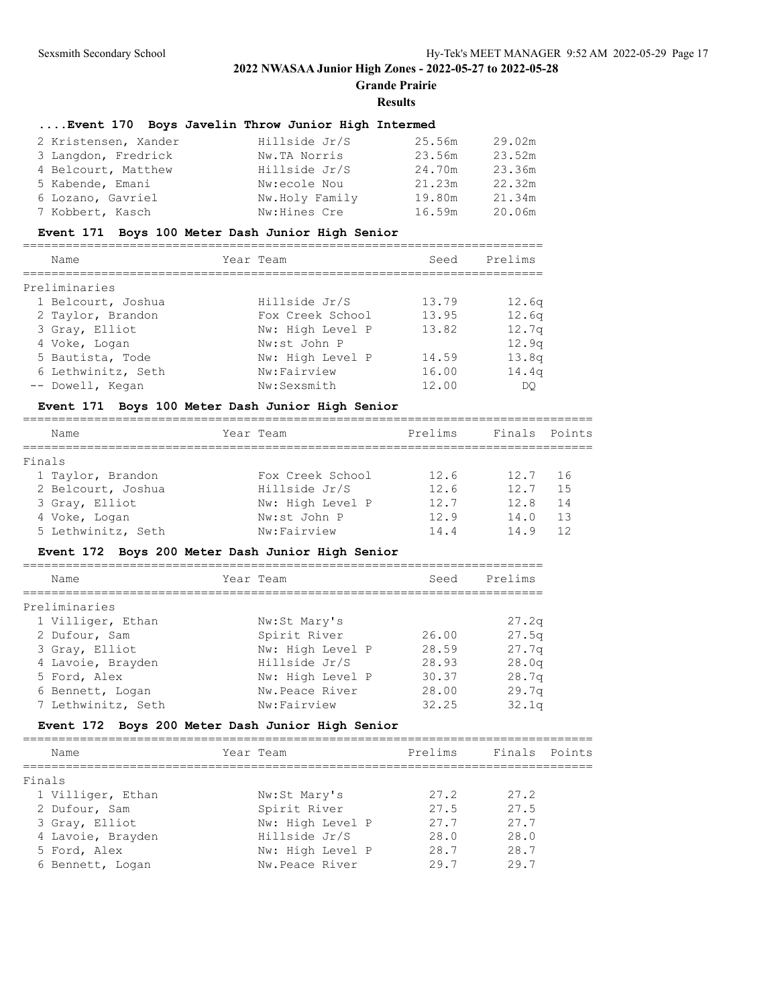**Grande Prairie**

#### **Results**

## **....Event 170 Boys Javelin Throw Junior High Intermed**

| 2 Kristensen, Xander | Hillside Jr/S  | 25.56m | 29.02m |
|----------------------|----------------|--------|--------|
| 3 Langdon, Fredrick  | Nw.TA Norris   | 23.56m | 23.52m |
| 4 Belcourt, Matthew  | Hillside Jr/S  | 24.70m | 23.36m |
| 5 Kabende, Emani     | Nw:ecole Nou   | 21.23m | 22.32m |
| 6 Lozano, Gavriel    | Nw.Holy Family | 19.80m | 21.34m |
| 7 Kobbert, Kasch     | Nw:Hines Cre   | 16.59m | 20.06m |

#### **Event 171 Boys 100 Meter Dash Junior High Senior**

| Name               | Year Team        | Seed  | Prelims           |
|--------------------|------------------|-------|-------------------|
| Preliminaries      |                  |       |                   |
| 1 Belcourt, Joshua | Hillside Jr/S    | 13.79 | 12.6q             |
| 2 Taylor, Brandon  | Fox Creek School | 13.95 | 12.6 <sub>q</sub> |
| 3 Gray, Elliot     | Nw: High Level P | 13.82 | 12.7 <sub>q</sub> |
| 4 Voke, Logan      | Nw:st John P     |       | 12.9q             |
| 5 Bautista, Tode   | Nw: High Level P | 14.59 | 13.8q             |
| 6 Lethwinitz, Seth | Nw:Fairview      | 16.00 | 14.4q             |
| -- Dowell, Kegan   | Nw:Sexsmith      | 12.00 | DO                |

#### **Event 171 Boys 100 Meter Dash Junior High Senior**

================================================================================ Name **1988 Team** Prelims Finals Points Remer ================================================================================ Finals 1 Taylor, Brandon Fox Creek School 12.6 12.7 16 2 Belcourt, Joshua Hillside Jr/S 12.6 12.7 15 3 Gray, Elliot Nw: High Level P 12.7 12.8 14 4 Voke, Logan Nw:st John P 12.9 14.0 13 5 Lethwinitz, Seth Nw:Fairview 14.4 14.9 12

### **Event 172 Boys 200 Meter Dash Junior High Senior**

| Name               | Year Team        | Seed  | Prelims |
|--------------------|------------------|-------|---------|
|                    |                  |       |         |
| Preliminaries      |                  |       |         |
| 1 Villiger, Ethan  | Nw:St Mary's     |       | 27.2q   |
| 2 Dufour, Sam      | Spirit River     | 26.00 | 27.5q   |
| 3 Gray, Elliot     | Nw: High Level P | 28.59 | 27.7q   |
| 4 Lavoie, Brayden  | Hillside Jr/S    | 28.93 | 28.0q   |
| 5 Ford, Alex       | Nw: High Level P | 30.37 | 28.7q   |
| 6 Bennett, Logan   | Nw.Peace River   | 28.00 | 29.7q   |
| 7 Lethwinitz, Seth | Nw:Fairview      | 32.25 | 32.1q   |

### **Event 172 Boys 200 Meter Dash Junior High Senior**

|        | Name              | Year Team |                  | Prelims | Finals Points |  |
|--------|-------------------|-----------|------------------|---------|---------------|--|
| Finals |                   |           |                  |         |               |  |
|        | 1 Villiger, Ethan |           | Nw:St Mary's     | 27.2    | 27.2          |  |
|        | 2 Dufour, Sam     |           | Spirit River     | 27.5    | 27.5          |  |
|        | 3 Gray, Elliot    |           | Nw: High Level P | 27.7    | 27.7          |  |
|        | 4 Lavoie, Brayden |           | Hillside Jr/S    | 28.0    | 28.0          |  |
|        | 5 Ford, Alex      |           | Nw: High Level P | 28.7    | 28.7          |  |
|        | 6 Bennett, Logan  |           | Nw.Peace River   | 29.7    | 29.7          |  |
|        |                   |           |                  |         |               |  |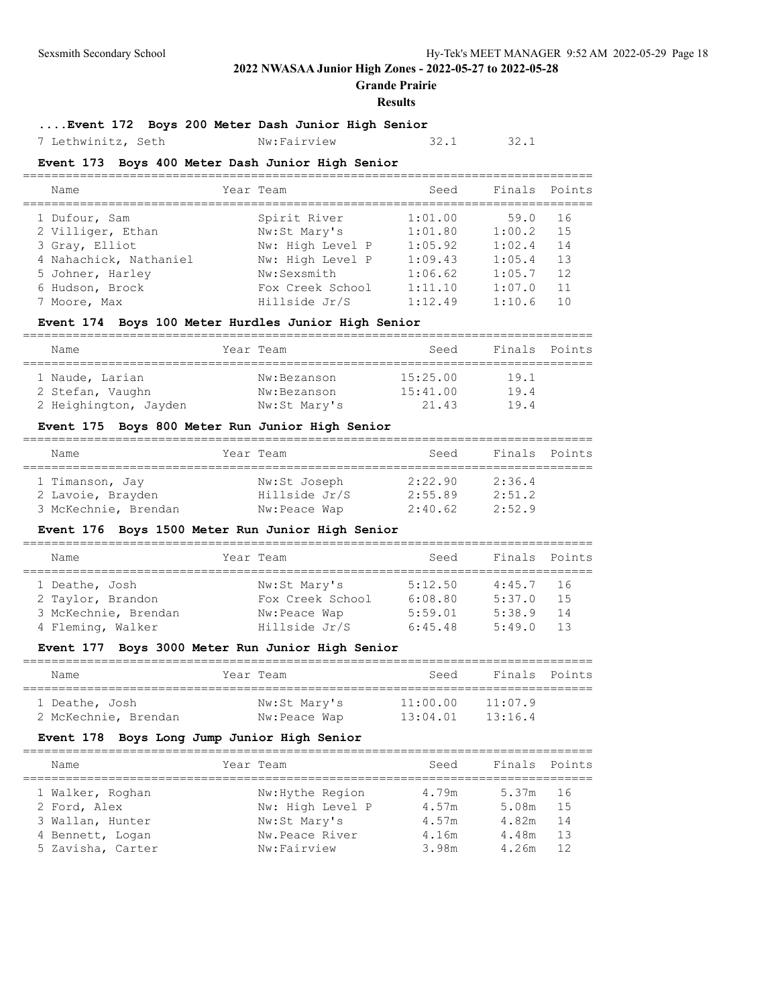**Grande Prairie**

#### **Results**

## **....Event 172 Boys 200 Meter Dash Junior High Senior**

7 Lethwinitz, Seth Nw:Fairview 32.1 32.1

### **Event 173 Boys 400 Meter Dash Junior High Senior**

| Name                               | Year Team                    | Seed               | Finals Points  |           |
|------------------------------------|------------------------------|--------------------|----------------|-----------|
| 1 Dufour, Sam<br>2 Villiger, Ethan | Spirit River<br>Nw:St Mary's | 1:01.00<br>1:01.80 | 59.0<br>1:00.2 | 16<br>1.5 |
| 3 Gray, Elliot                     | Nw: High Level P             | 1:05.92            | 1:02.4         | 14        |
| 4 Nahachick, Nathaniel             | Nw: High Level P             | 1:09.43            | 1:05.4         | 13        |
| 5 Johner, Harley                   | Nw:Sexsmith                  | 1:06.62            | 1:05.7         | 12        |
| 6 Hudson, Brock                    | Fox Creek School             | 1:11.10            | 1:07.0         | 11        |
| 7 Moore, Max                       | Hillside Jr/S                | 1:12.49            | 1:10.6         | 10        |
|                                    |                              |                    |                |           |

### **Event 174 Boys 100 Meter Hurdles Junior High Senior**

| Name                  | Year Team    | Seed     | Finals Points |  |
|-----------------------|--------------|----------|---------------|--|
| 1 Naude, Larian       | Nw:Bezanson  | 15:25.00 | 19.1          |  |
| 2 Stefan, Vaughn      | Nw:Bezanson  | 15:41.00 | 19.4          |  |
| 2 Heighington, Jayden | Nw:St Mary's | 21.43    | 19.4          |  |

### **Event 175 Boys 800 Meter Run Junior High Senior**

| Name                 | Year Team     | Seed    | Finals Points |  |
|----------------------|---------------|---------|---------------|--|
|                      |               |         |               |  |
| 1 Timanson, Jay      | Nw:St Joseph  | 2:22.90 | 2:36.4        |  |
| 2 Lavoie, Brayden    | Hillside Jr/S | 2:55.89 | 2:51.2        |  |
| 3 McKechnie, Brendan | Nw:Peace Wap  | 2:40.62 | 2:52.9        |  |

### **Event 176 Boys 1500 Meter Run Junior High Senior**

| Name                 | Year Team        | Seed    | Finals Points |     |  |  |  |  |
|----------------------|------------------|---------|---------------|-----|--|--|--|--|
| 1 Deathe, Josh       | Nw:St Mary's     | 5:12.50 | $4:45.7$ 16   |     |  |  |  |  |
| 2 Taylor, Brandon    | Fox Creek School | 6:08.80 | 5:37.0        | 15  |  |  |  |  |
| 3 McKechnie, Brendan | Nw: Peace Wap    | 5:59.01 | 5:38.9        | -14 |  |  |  |  |
| 4 Fleming, Walker    | Hillside Jr/S    | 6:45.48 | 5:49.0        | 13  |  |  |  |  |

### **Event 177 Boys 3000 Meter Run Junior High Senior**

| Name                                   | Year Team                    | Seed                 | Finals Points      |  |
|----------------------------------------|------------------------------|----------------------|--------------------|--|
| 1 Deathe, Josh<br>2 McKechnie, Brendan | Nw:St Mary's<br>Nw:Peace Wap | 11:00.00<br>13:04.01 | 11:07.9<br>13:16.4 |  |

#### **Event 178 Boys Long Jump Junior High Senior**

| Name |                   | Year Team |                  | Seed  |          | Finals Points |
|------|-------------------|-----------|------------------|-------|----------|---------------|
|      | 1 Walker, Roghan  |           | Nw: Hythe Region | 4.79m | 5.37m 16 |               |
|      | 2 Ford, Alex      |           | Nw: High Level P | 4.57m | 5.08m    | -15           |
|      | 3 Wallan, Hunter  |           | Nw:St Mary's     | 4.57m | 4.82m    | 14            |
|      | 4 Bennett, Logan  |           | Nw.Peace River   | 4.16m | 4.48m    | 13            |
|      | 5 Zavisha, Carter |           | Nw:Fairview      | 3.98m | 4.26m    | 12            |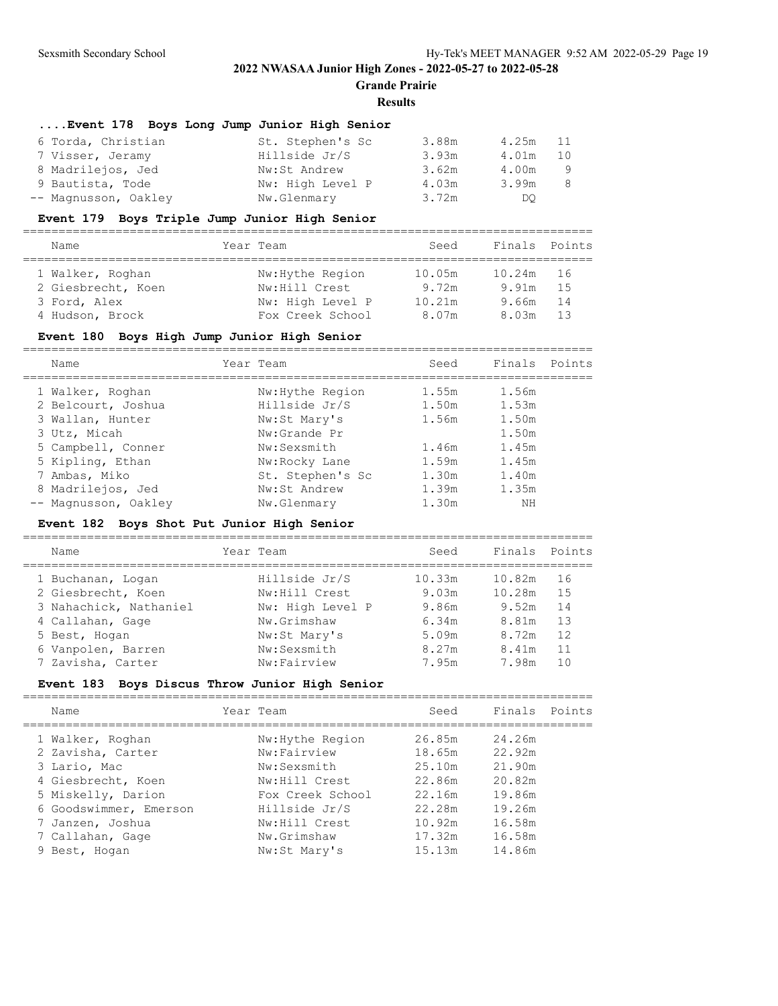**Grande Prairie**

#### **Results**

### **....Event 178 Boys Long Jump Junior High Senior**

| 6 Torda, Christian   | St. Stephen's Sc | 3.88m | 4.25m | 11  |
|----------------------|------------------|-------|-------|-----|
| 7 Visser, Jeramy     | Hillside Jr/S    | 3.93m | 4.01m | 10  |
| 8 Madrilejos, Jed    | Nw:St Andrew     | 3.62m | 4.00m | - 9 |
| 9 Bautista, Tode     | Nw: High Level P | 4.03m | 3.99m | 8   |
| -- Magnusson, Oakley | Nw.Glenmary      | 3.72m | DO.   |     |

### **Event 179 Boys Triple Jump Junior High Senior**

| Name               | Year Team        | Seed   | Finals Points |      |  |  |  |  |  |  |
|--------------------|------------------|--------|---------------|------|--|--|--|--|--|--|
| 1 Walker, Roghan   | Nw: Hythe Region | 10.05m | 10.24m        | - 16 |  |  |  |  |  |  |
| 2 Giesbrecht, Koen | Nw:Hill Crest    | 9.72m  | 9.91m         | 1.5  |  |  |  |  |  |  |
| 3 Ford, Alex       | Nw: High Level P | 10.21m | 9.66m         | 14   |  |  |  |  |  |  |
| 4 Hudson, Brock    | Fox Creek School | 8.07m  | 8.03m         | 13   |  |  |  |  |  |  |

#### **Event 180 Boys High Jump Junior High Senior**

================================================================================

| Name                 | Year Team        | Seed  | Finals Points |  |
|----------------------|------------------|-------|---------------|--|
| 1 Walker, Roghan     | Nw: Hythe Region | 1.55m | 1.56m         |  |
| 2 Belcourt, Joshua   | Hillside Jr/S    | 1.50m | 1.53m         |  |
| 3 Wallan, Hunter     | Nw:St Mary's     | 1.56m | 1.50m         |  |
| 3 Utz, Micah         | Nw:Grande Pr     |       | 1.50m         |  |
| 5 Campbell, Conner   | Nw:Sexsmith      | 1.46m | 1.45m         |  |
| 5 Kipling, Ethan     | Nw:Rocky Lane    | 1.59m | 1.45m         |  |
| 7 Ambas, Miko        | St. Stephen's Sc | 1.30m | 1.40m         |  |
| 8 Madrilejos, Jed    | Nw:St Andrew     | 1.39m | 1.35m         |  |
| -- Magnusson, Oakley | Nw.Glenmary      | 1.30m | ΝH            |  |

### **Event 182 Boys Shot Put Junior High Senior**

================================================================================ Name Year Team Seed Finals Points ================================================================================ 1 Buchanan, Logan Hillside Jr/S 10.33m 10.82m 16 2 Giesbrecht, Koen Mw:Hill Crest 9.03m 10.28m 15 3 Nahachick, Nathaniel Nw: High Level P 9.86m 9.52m 14 4 Callahan, Gage Nw.Grimshaw 6.34m 8.81m 13 5 Best, Hogan Nw:St Mary's 5.09m 8.72m 12 6 Vanpolen, Barren Nw:Sexsmith 8.27m 8.41m 11 7 Zavisha, Carter Nw:Fairview 7.95m 7.98m 10

================================================================================

#### **Event 183 Boys Discus Throw Junior High Senior**

| Name                   | Year Team        | Seed   | Finals Points |  |
|------------------------|------------------|--------|---------------|--|
| 1 Walker, Roghan       | Nw: Hythe Region | 26.85m | 24.26m        |  |
| 2 Zavisha, Carter      | Nw:Fairview      | 18.65m | 22.92m        |  |
| 3 Lario, Mac           | Nw:Sexsmith      | 25.10m | 21.90m        |  |
| 4 Giesbrecht, Koen     | Nw:Hill Crest    | 22.86m | 20.82m        |  |
| 5 Miskelly, Darion     | Fox Creek School | 22.16m | 19.86m        |  |
| 6 Goodswimmer, Emerson | Hillside Jr/S    | 22.28m | 19.26m        |  |
| 7 Janzen, Joshua       | Nw:Hill Crest    | 10.92m | 16.58m        |  |
| 7 Callahan, Gage       | Nw.Grimshaw      | 17.32m | 16.58m        |  |
| 9 Best, Hogan          | Nw:St Mary's     | 15.13m | 14.86m        |  |
|                        |                  |        |               |  |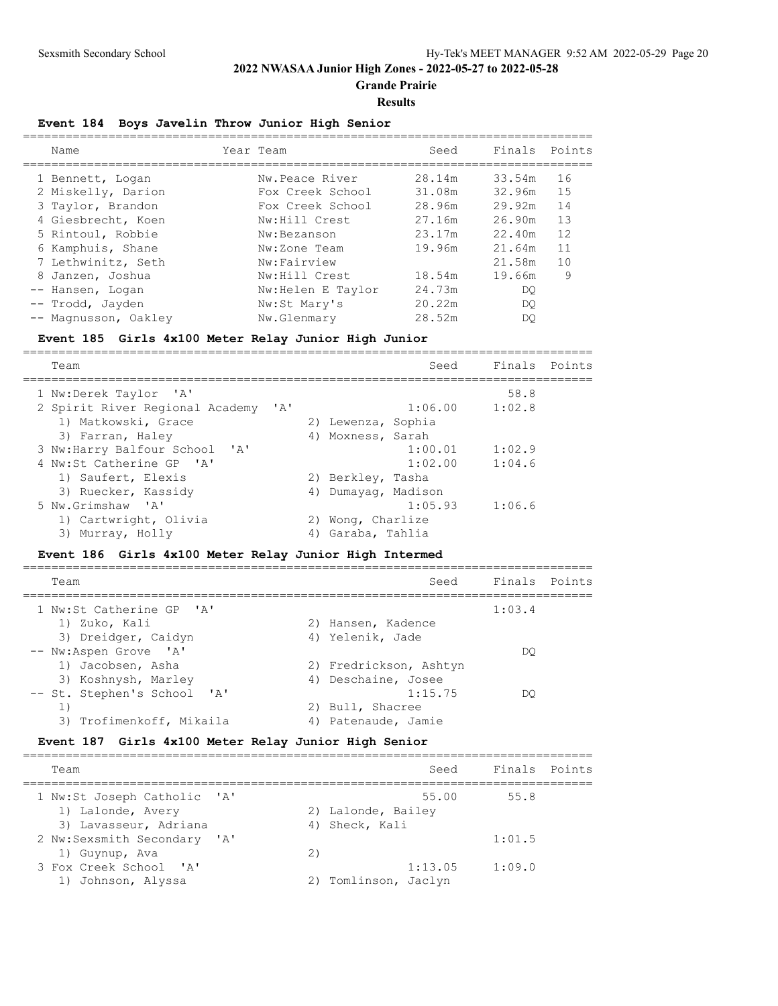**Grande Prairie**

#### **Results**

#### **Event 184 Boys Javelin Throw Junior High Senior**

| Name                 | Year Team         | Seed   | Finals | Points |
|----------------------|-------------------|--------|--------|--------|
| 1 Bennett, Logan     | Nw.Peace River    | 28.14m | 33.54m | 16     |
| 2 Miskelly, Darion   | Fox Creek School  | 31.08m | 32.96m | 15     |
| 3 Taylor, Brandon    | Fox Creek School  | 28.96m | 29.92m | 14     |
| 4 Giesbrecht, Koen   | Nw:Hill Crest     | 27.16m | 26.90m | 13     |
| 5 Rintoul, Robbie    | Nw:Bezanson       | 23.17m | 22.40m | 12     |
| 6 Kamphuis, Shane    | Nw:Zone Team      | 19.96m | 21.64m | 11     |
| 7 Lethwinitz, Seth   | Nw:Fairview       |        | 21.58m | 10     |
| 8 Janzen, Joshua     | Nw:Hill Crest     | 18.54m | 19.66m | 9      |
| -- Hansen, Logan     | Nw:Helen E Taylor | 24.73m | DO.    |        |
| Trodd, Jayden        | Nw:St Mary's      | 20.22m | DO.    |        |
| -- Magnusson, Oakley | Nw.Glenmary       | 28.52m | DO     |        |

#### **Event 185 Girls 4x100 Meter Relay Junior High Junior**

================================================================================ Team Seed Finals Points ================================================================================ 1 Nw:Derek Taylor 'A' 58.8 2 Spirit River Regional Academy 'A' 1) Matkowski, Grace 2) Lewenza, Sophia 3) Farran, Haley (4) Moxness, Sarah 3) Farran, Haley (1998)<br>3 Nw:Harry Balfour School (1998)<br>4 Nw:St Catherine GP (1998)<br>4 1:02.00 1:04.6 4 Nw:St Catherine GP 'A' 1:02.00 1:04.6 1) Saufert, Elexis 2) Berkley, Tasha 3) Ruecker, Kassidy 4) Dumayag, Madison 5 Nw.Grimshaw 'A' 1:05.93 1:06.6 1) Cartwright, Olivia and 2) Wong, Charlize 3) Murray, Holly 1988 (4) Garaba, Tahlia

#### **Event 186 Girls 4x100 Meter Relay Junior High Intermed**

| Team                        |    | Seed                   | Finals Points |  |
|-----------------------------|----|------------------------|---------------|--|
| 1 Nw:St Catherine GP 'A'    |    |                        | 1:03.4        |  |
| 1) Zuko, Kali               |    | 2) Hansen, Kadence     |               |  |
| 3) Dreidger, Caidyn         |    | 4) Yelenik, Jade       |               |  |
| -- Nw:Aspen Grove 'A'       |    |                        | DO.           |  |
| 1) Jacobsen, Asha           |    | 2) Fredrickson, Ashtyn |               |  |
| 3) Koshnysh, Marley         |    | 4) Deschaine, Josee    |               |  |
| -- St. Stephen's School 'A' |    | 1:15.75                | DO            |  |
|                             |    | 2) Bull, Shacree       |               |  |
| 3)<br>Trofimenkoff, Mikaila | 4) | Patenaude, Jamie       |               |  |

#### **Event 187 Girls 4x100 Meter Relay Junior High Senior**

| Finals Points<br>Seed<br>Team<br>55.00<br>1 Nw:St Joseph Catholic 'A'<br>55.8<br>1) Lalonde, Avery<br>2) Lalonde, Bailey<br>3) Lavasseur, Adriana<br>4) Sheck, Kali<br>2 Nw:Sexsmith Secondary 'A'<br>1:01.5<br>1) Guynup, Ava<br>2)<br>3 Fox Creek School 'A'<br>1:09.0<br>1:13.05 |                    |  |  |  |
|-------------------------------------------------------------------------------------------------------------------------------------------------------------------------------------------------------------------------------------------------------------------------------------|--------------------|--|--|--|
|                                                                                                                                                                                                                                                                                     |                    |  |  |  |
|                                                                                                                                                                                                                                                                                     |                    |  |  |  |
|                                                                                                                                                                                                                                                                                     |                    |  |  |  |
| 2) Tomlinson, Jaclyn                                                                                                                                                                                                                                                                | 1) Johnson, Alyssa |  |  |  |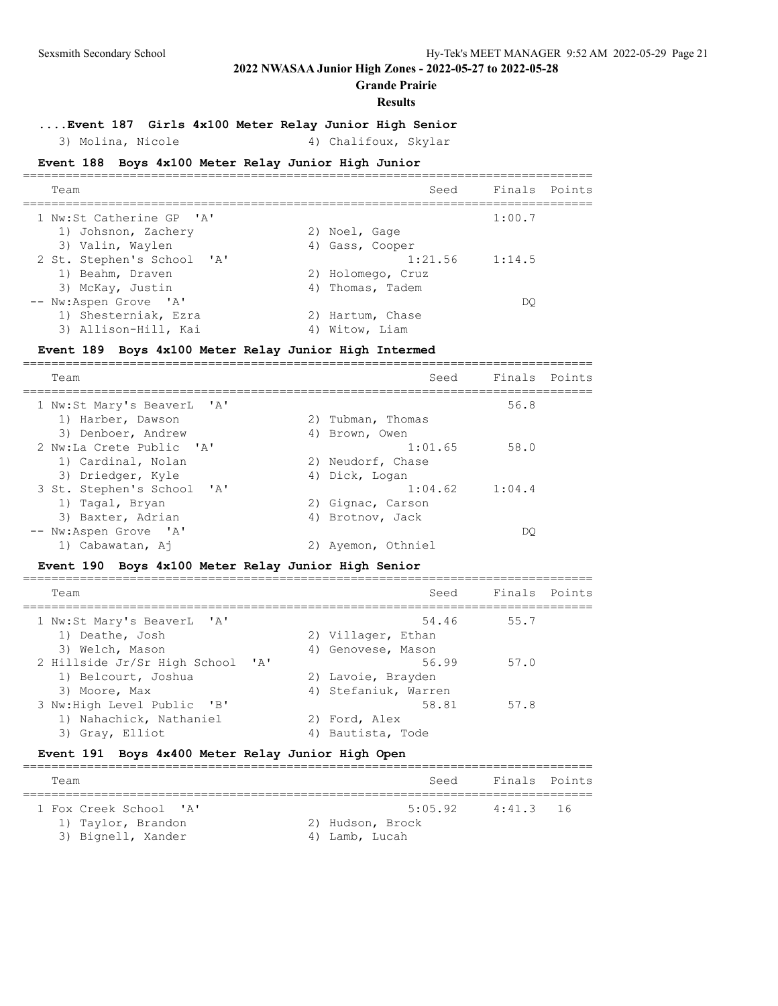**Grande Prairie**

#### **Results**

## **....Event 187 Girls 4x100 Meter Relay Junior High Senior**

# 3) Molina, Nicole 4) Chalifoux, Skylar

## **Event 188 Boys 4x100 Meter Relay Junior High Junior**

|                            | Seed |                                                                                                              |                                     |
|----------------------------|------|--------------------------------------------------------------------------------------------------------------|-------------------------------------|
| 1 Nw:St Catherine GP 'A'   |      | 1:00.7                                                                                                       |                                     |
| 1) Johsnon, Zachery        |      |                                                                                                              |                                     |
| 3) Valin, Waylen           |      |                                                                                                              |                                     |
| 2 St. Stephen's School 'A' |      |                                                                                                              |                                     |
| 1) Beahm, Draven           |      |                                                                                                              |                                     |
| 3) McKay, Justin           |      |                                                                                                              |                                     |
| -- Nw:Aspen Grove 'A'      |      | DO                                                                                                           |                                     |
| 1) Shesterniak, Ezra       |      |                                                                                                              |                                     |
| 3) Allison-Hill, Kai       |      |                                                                                                              |                                     |
|                            | 4)   | 2) Noel, Gage<br>4) Gass, Cooper<br>2) Holomego, Cruz<br>4) Thomas, Tadem<br>2) Hartum, Chase<br>Witow, Liam | Finals Points<br>$1:21.56$ $1:14.5$ |

#### **Event 189 Boys 4x100 Meter Relay Junior High Intermed**

| Team                       | Seed               | Finals Points |  |
|----------------------------|--------------------|---------------|--|
| 1 Nw:St Mary's BeaverL 'A' |                    | 56.8          |  |
| 1) Harber, Dawson          | 2) Tubman, Thomas  |               |  |
| 3) Denboer, Andrew         | 4) Brown, Owen     |               |  |
| 2 Nw:La Crete Public 'A'   | 1:01.65            | 58.0          |  |
| 1) Cardinal, Nolan         | 2) Neudorf, Chase  |               |  |
| 3) Driedger, Kyle          | 4) Dick, Logan     |               |  |
| 3 St. Stephen's School 'A' | $1:04.62$ $1:04.4$ |               |  |
| 1) Tagal, Bryan            | 2) Gignac, Carson  |               |  |
| 3) Baxter, Adrian          | 4) Brotnov, Jack   |               |  |
| -- Nw:Aspen Grove 'A'      |                    | DO            |  |
| 1) Cabawatan, Aj           | Ayemon, Othniel    |               |  |

## **Event 190 Boys 4x100 Meter Relay Junior High Senior**

| Team                                                                     | Seed                                       | Finals Points |  |
|--------------------------------------------------------------------------|--------------------------------------------|---------------|--|
| 1 Nw:St Mary's BeaverL 'A'<br>1) Deathe, Josh                            | 54.46<br>2) Villager, Ethan                | 55.7          |  |
| 3) Welch, Mason<br>2 Hillside Jr/Sr High School 'A'                      | 4) Genovese, Mason<br>56.99                | 57.0          |  |
| 1) Belcourt, Joshua<br>3) Moore, Max                                     | 2) Lavoie, Brayden<br>4) Stefaniuk, Warren |               |  |
| 3 Nw:High Level Public 'B'<br>1) Nahachick, Nathaniel<br>3) Gray, Elliot | 58.81<br>2) Ford, Alex<br>Bautista, Tode   | 57.8          |  |
|                                                                          |                                            |               |  |

## **Event 191 Boys 4x400 Meter Relay Junior High Open**

| Team                                                               | Seed                                          | Finals Points |  |
|--------------------------------------------------------------------|-----------------------------------------------|---------------|--|
| 1 Fox Creek School 'A'<br>1) Taylor, Brandon<br>3) Bignell, Xander | 5:05.92<br>2) Hudson, Brock<br>4) Lamb, Lucah | 4:41.3 16     |  |